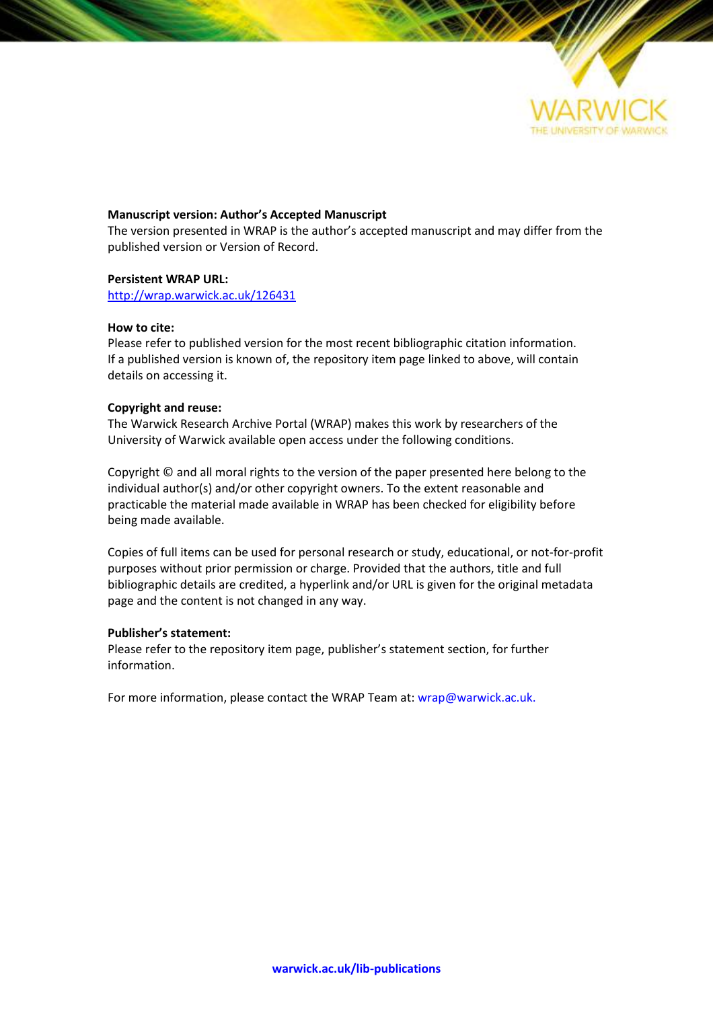

### **Manuscript version: Author's Accepted Manuscript**

The version presented in WRAP is the author's accepted manuscript and may differ from the published version or Version of Record.

### **Persistent WRAP URL:**

<http://wrap.warwick.ac.uk/126431>

### **How to cite:**

Please refer to published version for the most recent bibliographic citation information. If a published version is known of, the repository item page linked to above, will contain details on accessing it.

### **Copyright and reuse:**

The Warwick Research Archive Portal (WRAP) makes this work by researchers of the University of Warwick available open access under the following conditions.

Copyright © and all moral rights to the version of the paper presented here belong to the individual author(s) and/or other copyright owners. To the extent reasonable and practicable the material made available in WRAP has been checked for eligibility before being made available.

Copies of full items can be used for personal research or study, educational, or not-for-profit purposes without prior permission or charge. Provided that the authors, title and full bibliographic details are credited, a hyperlink and/or URL is given for the original metadata page and the content is not changed in any way.

### **Publisher's statement:**

Please refer to the repository item page, publisher's statement section, for further information.

For more information, please contact the WRAP Team at[: wrap@warwick.ac.uk.](mailto:wrap@warwick.ac.uk)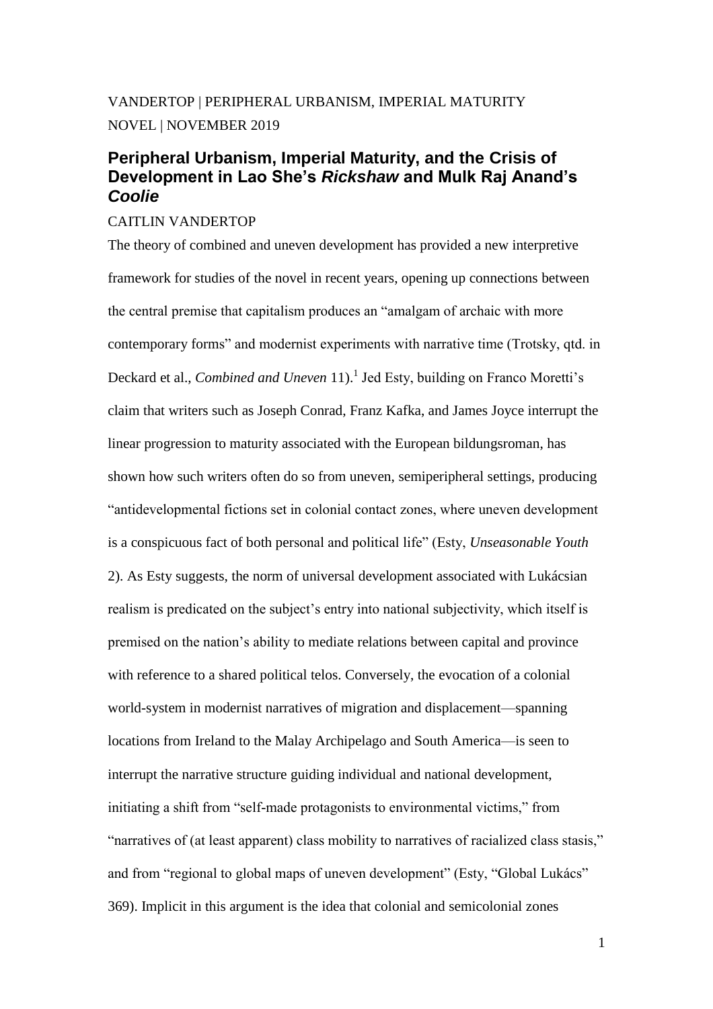# VANDERTOP | PERIPHERAL URBANISM, IMPERIAL MATURITY NOVEL | NOVEMBER 2019

## **Peripheral Urbanism, Imperial Maturity, and the Crisis of Development in Lao She's** *Rickshaw* **and Mulk Raj Anand's**  *Coolie*

### CAITLIN VANDERTOP

The theory of combined and uneven development has provided a new interpretive framework for studies of the novel in recent years, opening up connections between the central premise that capitalism produces an "amalgam of archaic with more contemporary forms" and modernist experiments with narrative time (Trotsky, qtd. in Deckard et al., *Combined and Uneven* 11).<sup>1</sup> Jed Esty, building on Franco Moretti's claim that writers such as Joseph Conrad, Franz Kafka, and James Joyce interrupt the linear progression to maturity associated with the European bildungsroman, has shown how such writers often do so from uneven, semiperipheral settings, producing "antidevelopmental fictions set in colonial contact zones, where uneven development is a conspicuous fact of both personal and political life" (Esty, *Unseasonable Youth* 2). As Esty suggests, the norm of universal development associated with Lukácsian realism is predicated on the subject's entry into national subjectivity, which itself is premised on the nation's ability to mediate relations between capital and province with reference to a shared political telos. Conversely, the evocation of a colonial world-system in modernist narratives of migration and displacement—spanning locations from Ireland to the Malay Archipelago and South America—is seen to interrupt the narrative structure guiding individual and national development, initiating a shift from "self-made protagonists to environmental victims," from "narratives of (at least apparent) class mobility to narratives of racialized class stasis," and from "regional to global maps of uneven development" (Esty, "Global Lukács" 369). Implicit in this argument is the idea that colonial and semicolonial zones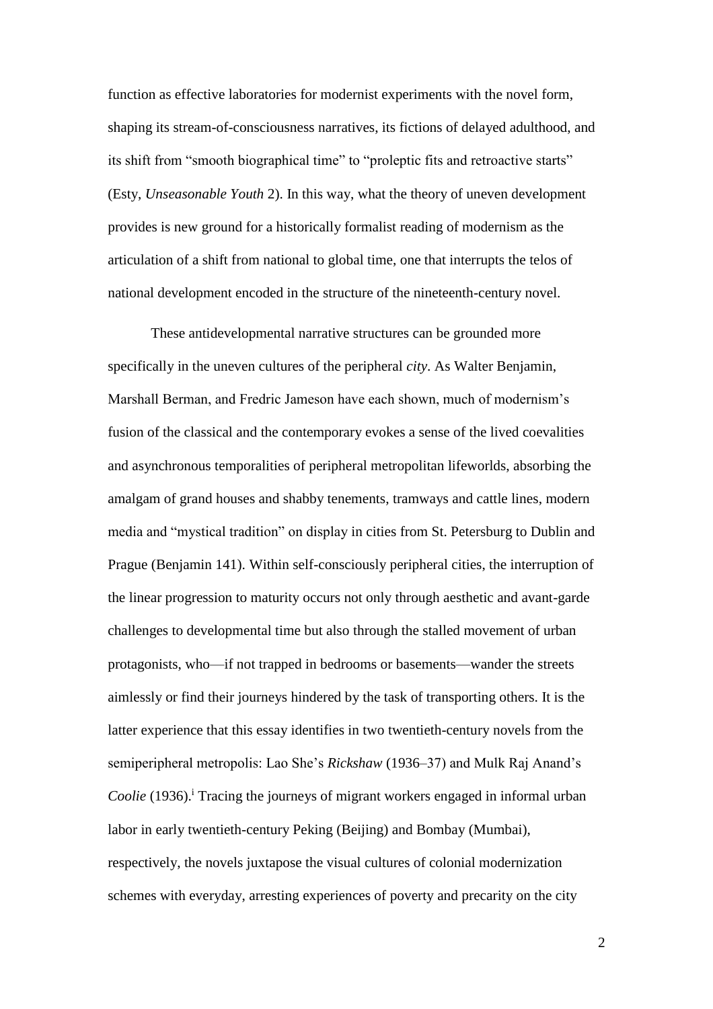function as effective laboratories for modernist experiments with the novel form, shaping its stream-of-consciousness narratives, its fictions of delayed adulthood, and its shift from "smooth biographical time" to "proleptic fits and retroactive starts" (Esty, *Unseasonable Youth* 2). In this way, what the theory of uneven development provides is new ground for a historically formalist reading of modernism as the articulation of a shift from national to global time, one that interrupts the telos of national development encoded in the structure of the nineteenth-century novel.

These antidevelopmental narrative structures can be grounded more specifically in the uneven cultures of the peripheral *city*. As Walter Benjamin, Marshall Berman, and Fredric Jameson have each shown, much of modernism's fusion of the classical and the contemporary evokes a sense of the lived coevalities and asynchronous temporalities of peripheral metropolitan lifeworlds, absorbing the amalgam of grand houses and shabby tenements, tramways and cattle lines, modern media and "mystical tradition" on display in cities from St. Petersburg to Dublin and Prague (Benjamin 141). Within self-consciously peripheral cities, the interruption of the linear progression to maturity occurs not only through aesthetic and avant-garde challenges to developmental time but also through the stalled movement of urban protagonists, who—if not trapped in bedrooms or basements—wander the streets aimlessly or find their journeys hindered by the task of transporting others. It is the latter experience that this essay identifies in two twentieth-century novels from the semiperipheral metropolis: Lao She's *Rickshaw* (1936–37) and Mulk Raj Anand's *Coolie* (1936).<sup>i</sup> Tracing the journeys of migrant workers engaged in informal urban labor in early twentieth-century Peking (Beijing) and Bombay (Mumbai), respectively, the novels juxtapose the visual cultures of colonial modernization schemes with everyday, arresting experiences of poverty and precarity on the city

 $\mathfrak{D}$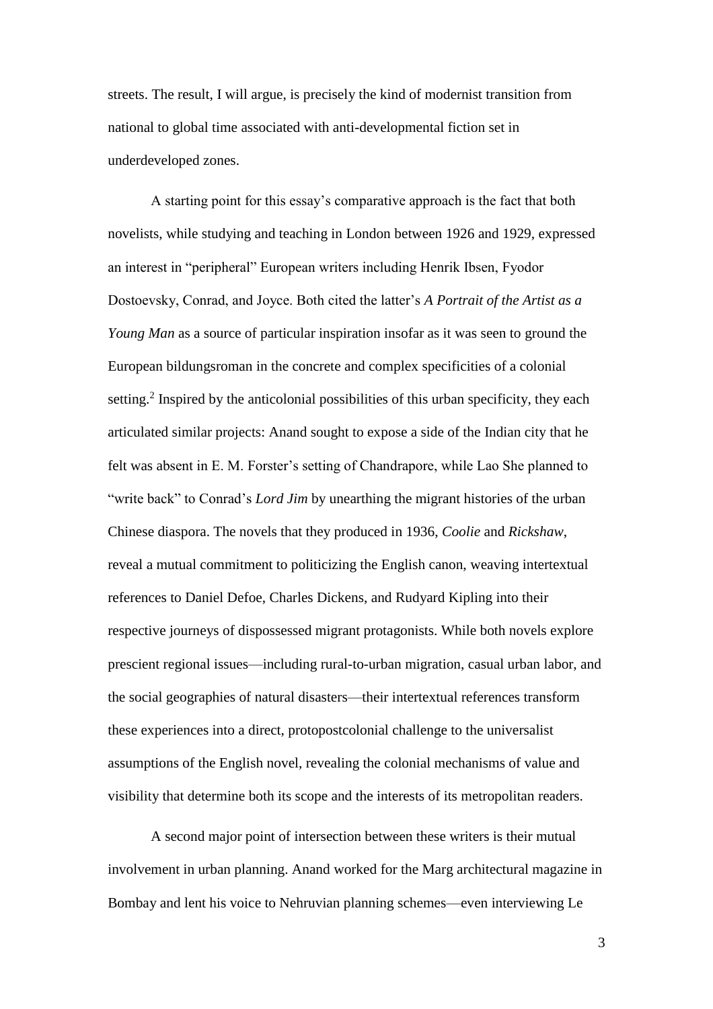streets. The result, I will argue, is precisely the kind of modernist transition from national to global time associated with anti-developmental fiction set in underdeveloped zones.

A starting point for this essay's comparative approach is the fact that both novelists, while studying and teaching in London between 1926 and 1929, expressed an interest in "peripheral" European writers including Henrik Ibsen, Fyodor Dostoevsky, Conrad, and Joyce. Both cited the latter's *A Portrait of the Artist as a Young Man* as a source of particular inspiration insofar as it was seen to ground the European bildungsroman in the concrete and complex specificities of a colonial setting.<sup>2</sup> Inspired by the anticolonial possibilities of this urban specificity, they each articulated similar projects: Anand sought to expose a side of the Indian city that he felt was absent in E. M. Forster's setting of Chandrapore, while Lao She planned to "write back" to Conrad's *Lord Jim* by unearthing the migrant histories of the urban Chinese diaspora. The novels that they produced in 1936, *Coolie* and *Rickshaw*, reveal a mutual commitment to politicizing the English canon, weaving intertextual references to Daniel Defoe, Charles Dickens, and Rudyard Kipling into their respective journeys of dispossessed migrant protagonists. While both novels explore prescient regional issues—including rural-to-urban migration, casual urban labor, and the social geographies of natural disasters—their intertextual references transform these experiences into a direct, protopostcolonial challenge to the universalist assumptions of the English novel, revealing the colonial mechanisms of value and visibility that determine both its scope and the interests of its metropolitan readers.

A second major point of intersection between these writers is their mutual involvement in urban planning. Anand worked for the Marg architectural magazine in Bombay and lent his voice to Nehruvian planning schemes—even interviewing Le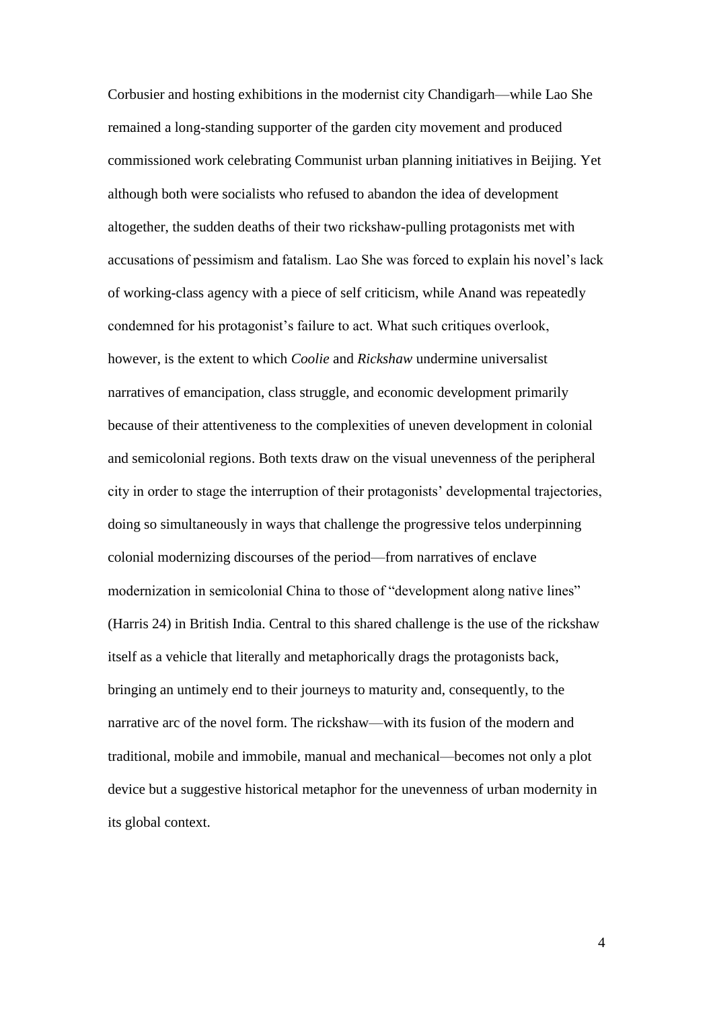Corbusier and hosting exhibitions in the modernist city Chandigarh—while Lao She remained a long-standing supporter of the garden city movement and produced commissioned work celebrating Communist urban planning initiatives in Beijing. Yet although both were socialists who refused to abandon the idea of development altogether, the sudden deaths of their two rickshaw-pulling protagonists met with accusations of pessimism and fatalism. Lao She was forced to explain his novel's lack of working-class agency with a piece of self criticism, while Anand was repeatedly condemned for his protagonist's failure to act. What such critiques overlook, however, is the extent to which *Coolie* and *Rickshaw* undermine universalist narratives of emancipation, class struggle, and economic development primarily because of their attentiveness to the complexities of uneven development in colonial and semicolonial regions. Both texts draw on the visual unevenness of the peripheral city in order to stage the interruption of their protagonists' developmental trajectories, doing so simultaneously in ways that challenge the progressive telos underpinning colonial modernizing discourses of the period—from narratives of enclave modernization in semicolonial China to those of "development along native lines" (Harris 24) in British India. Central to this shared challenge is the use of the rickshaw itself as a vehicle that literally and metaphorically drags the protagonists back, bringing an untimely end to their journeys to maturity and, consequently, to the narrative arc of the novel form. The rickshaw—with its fusion of the modern and traditional, mobile and immobile, manual and mechanical—becomes not only a plot device but a suggestive historical metaphor for the unevenness of urban modernity in its global context.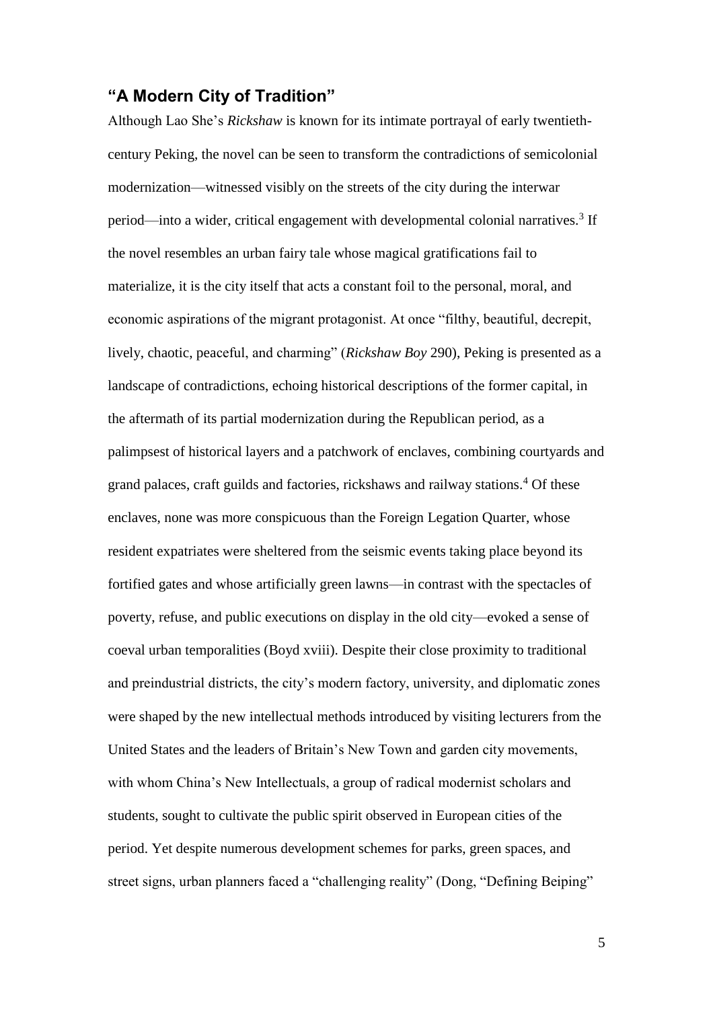## **"A Modern City of Tradition"**

Although Lao She's *Rickshaw* is known for its intimate portrayal of early twentiethcentury Peking, the novel can be seen to transform the contradictions of semicolonial modernization—witnessed visibly on the streets of the city during the interwar period—into a wider, critical engagement with developmental colonial narratives.<sup>3</sup> If the novel resembles an urban fairy tale whose magical gratifications fail to materialize, it is the city itself that acts a constant foil to the personal, moral, and economic aspirations of the migrant protagonist. At once "filthy, beautiful, decrepit, lively, chaotic, peaceful, and charming" (*Rickshaw Boy* 290), Peking is presented as a landscape of contradictions, echoing historical descriptions of the former capital, in the aftermath of its partial modernization during the Republican period, as a palimpsest of historical layers and a patchwork of enclaves, combining courtyards and grand palaces, craft guilds and factories, rickshaws and railway stations.<sup>4</sup> Of these enclaves, none was more conspicuous than the Foreign Legation Quarter, whose resident expatriates were sheltered from the seismic events taking place beyond its fortified gates and whose artificially green lawns—in contrast with the spectacles of poverty, refuse, and public executions on display in the old city—evoked a sense of coeval urban temporalities (Boyd xviii). Despite their close proximity to traditional and preindustrial districts, the city's modern factory, university, and diplomatic zones were shaped by the new intellectual methods introduced by visiting lecturers from the United States and the leaders of Britain's New Town and garden city movements, with whom China's New Intellectuals, a group of radical modernist scholars and students, sought to cultivate the public spirit observed in European cities of the period. Yet despite numerous development schemes for parks, green spaces, and street signs, urban planners faced a "challenging reality" (Dong, "Defining Beiping"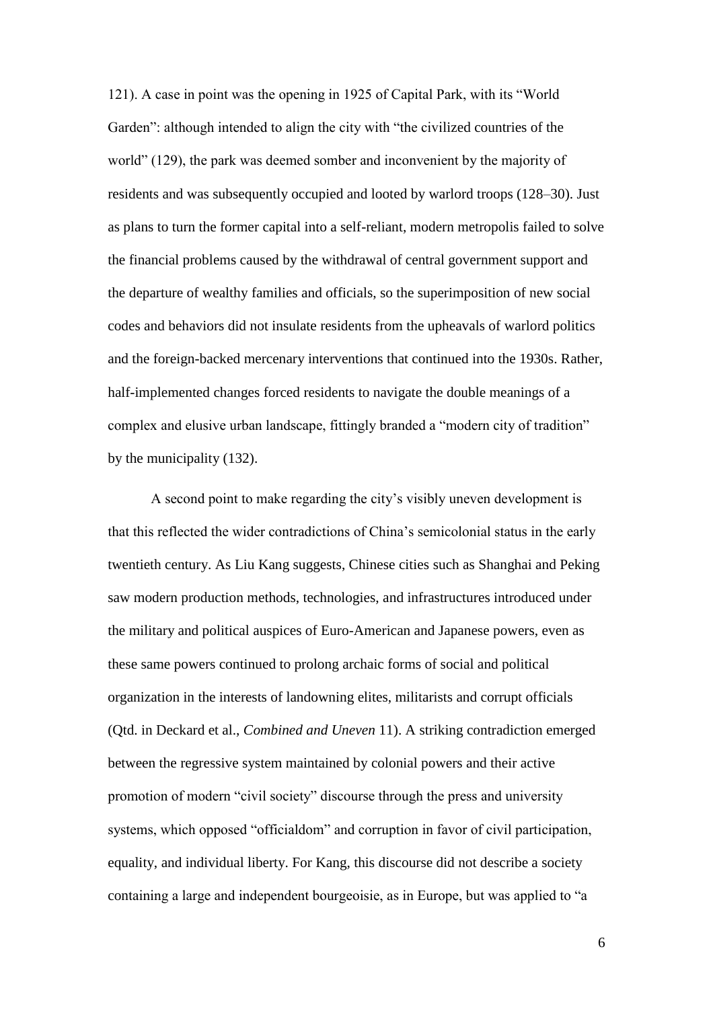121). A case in point was the opening in 1925 of Capital Park, with its "World Garden": although intended to align the city with "the civilized countries of the world" (129), the park was deemed somber and inconvenient by the majority of residents and was subsequently occupied and looted by warlord troops (128–30). Just as plans to turn the former capital into a self-reliant, modern metropolis failed to solve the financial problems caused by the withdrawal of central government support and the departure of wealthy families and officials, so the superimposition of new social codes and behaviors did not insulate residents from the upheavals of warlord politics and the foreign-backed mercenary interventions that continued into the 1930s. Rather, half-implemented changes forced residents to navigate the double meanings of a complex and elusive urban landscape, fittingly branded a "modern city of tradition" by the municipality (132).

A second point to make regarding the city's visibly uneven development is that this reflected the wider contradictions of China's semicolonial status in the early twentieth century. As Liu Kang suggests, Chinese cities such as Shanghai and Peking saw modern production methods, technologies, and infrastructures introduced under the military and political auspices of Euro-American and Japanese powers, even as these same powers continued to prolong archaic forms of social and political organization in the interests of landowning elites, militarists and corrupt officials (Qtd. in Deckard et al., *Combined and Uneven* 11). A striking contradiction emerged between the regressive system maintained by colonial powers and their active promotion of modern "civil society" discourse through the press and university systems, which opposed "officialdom" and corruption in favor of civil participation, equality, and individual liberty. For Kang, this discourse did not describe a society containing a large and independent bourgeoisie, as in Europe, but was applied to "a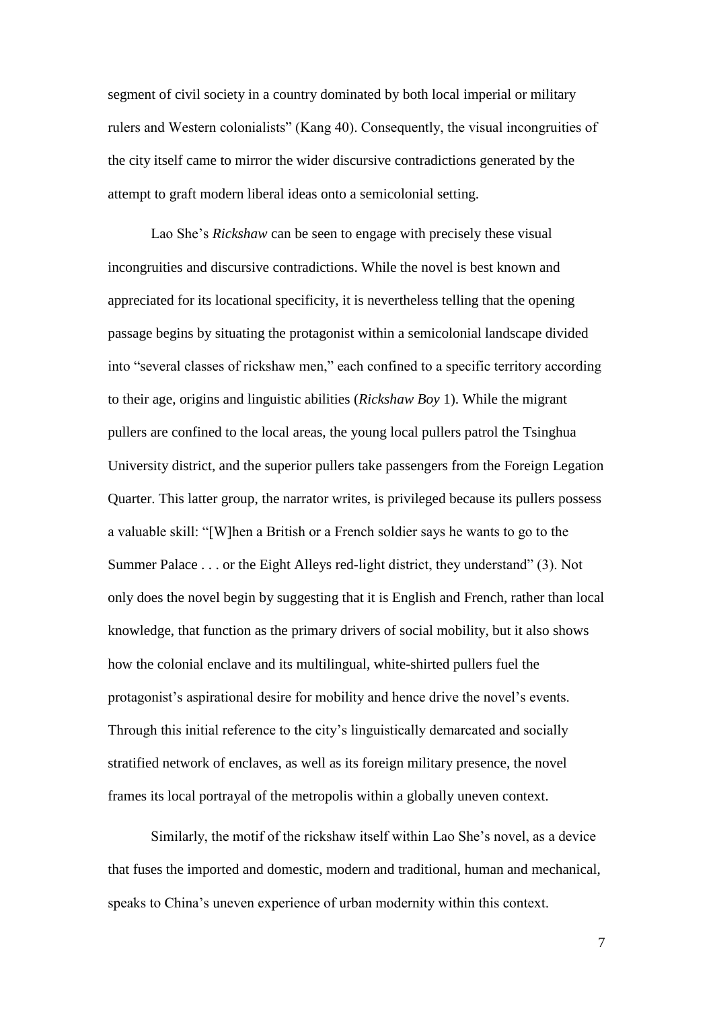segment of civil society in a country dominated by both local imperial or military rulers and Western colonialists" (Kang 40). Consequently, the visual incongruities of the city itself came to mirror the wider discursive contradictions generated by the attempt to graft modern liberal ideas onto a semicolonial setting.

Lao She's *Rickshaw* can be seen to engage with precisely these visual incongruities and discursive contradictions. While the novel is best known and appreciated for its locational specificity, it is nevertheless telling that the opening passage begins by situating the protagonist within a semicolonial landscape divided into "several classes of rickshaw men," each confined to a specific territory according to their age, origins and linguistic abilities (*Rickshaw Boy* 1). While the migrant pullers are confined to the local areas, the young local pullers patrol the Tsinghua University district, and the superior pullers take passengers from the Foreign Legation Quarter. This latter group, the narrator writes, is privileged because its pullers possess a valuable skill: "[W]hen a British or a French soldier says he wants to go to the Summer Palace . . . or the Eight Alleys red-light district, they understand" (3). Not only does the novel begin by suggesting that it is English and French, rather than local knowledge, that function as the primary drivers of social mobility, but it also shows how the colonial enclave and its multilingual, white-shirted pullers fuel the protagonist's aspirational desire for mobility and hence drive the novel's events. Through this initial reference to the city's linguistically demarcated and socially stratified network of enclaves, as well as its foreign military presence, the novel frames its local portrayal of the metropolis within a globally uneven context.

Similarly, the motif of the rickshaw itself within Lao She's novel, as a device that fuses the imported and domestic, modern and traditional, human and mechanical, speaks to China's uneven experience of urban modernity within this context.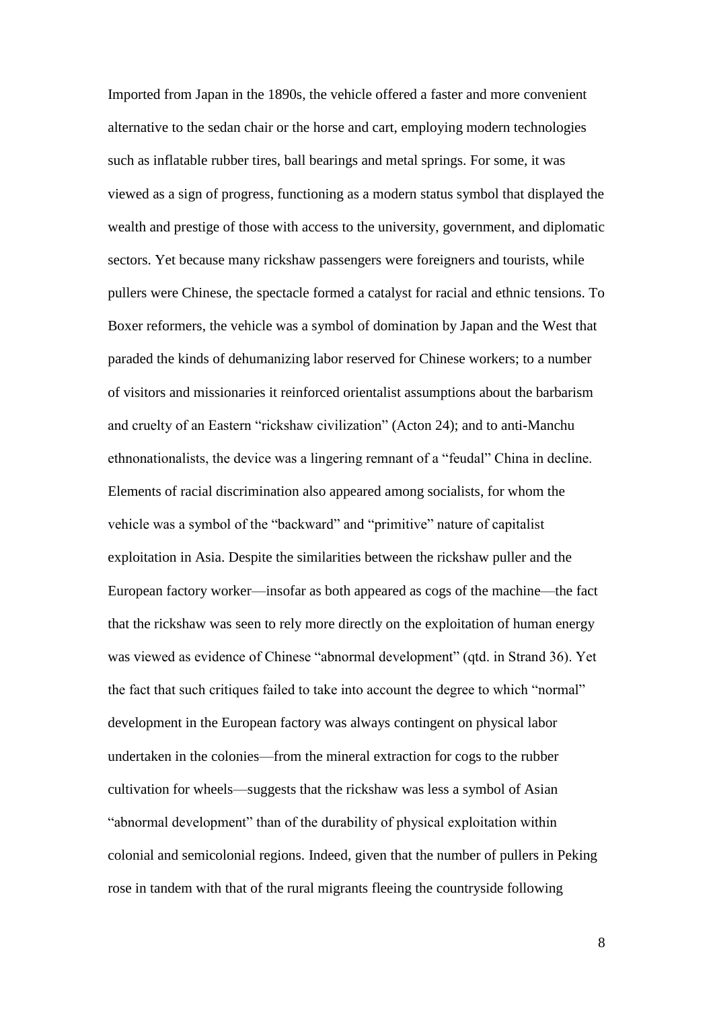Imported from Japan in the 1890s, the vehicle offered a faster and more convenient alternative to the sedan chair or the horse and cart, employing modern technologies such as inflatable rubber tires, ball bearings and metal springs. For some, it was viewed as a sign of progress, functioning as a modern status symbol that displayed the wealth and prestige of those with access to the university, government, and diplomatic sectors. Yet because many rickshaw passengers were foreigners and tourists, while pullers were Chinese, the spectacle formed a catalyst for racial and ethnic tensions. To Boxer reformers, the vehicle was a symbol of domination by Japan and the West that paraded the kinds of dehumanizing labor reserved for Chinese workers; to a number of visitors and missionaries it reinforced orientalist assumptions about the barbarism and cruelty of an Eastern "rickshaw civilization" (Acton 24); and to anti-Manchu ethnonationalists, the device was a lingering remnant of a "feudal" China in decline. Elements of racial discrimination also appeared among socialists, for whom the vehicle was a symbol of the "backward" and "primitive" nature of capitalist exploitation in Asia. Despite the similarities between the rickshaw puller and the European factory worker—insofar as both appeared as cogs of the machine—the fact that the rickshaw was seen to rely more directly on the exploitation of human energy was viewed as evidence of Chinese "abnormal development" (qtd. in Strand 36). Yet the fact that such critiques failed to take into account the degree to which "normal" development in the European factory was always contingent on physical labor undertaken in the colonies—from the mineral extraction for cogs to the rubber cultivation for wheels—suggests that the rickshaw was less a symbol of Asian "abnormal development" than of the durability of physical exploitation within colonial and semicolonial regions. Indeed, given that the number of pullers in Peking rose in tandem with that of the rural migrants fleeing the countryside following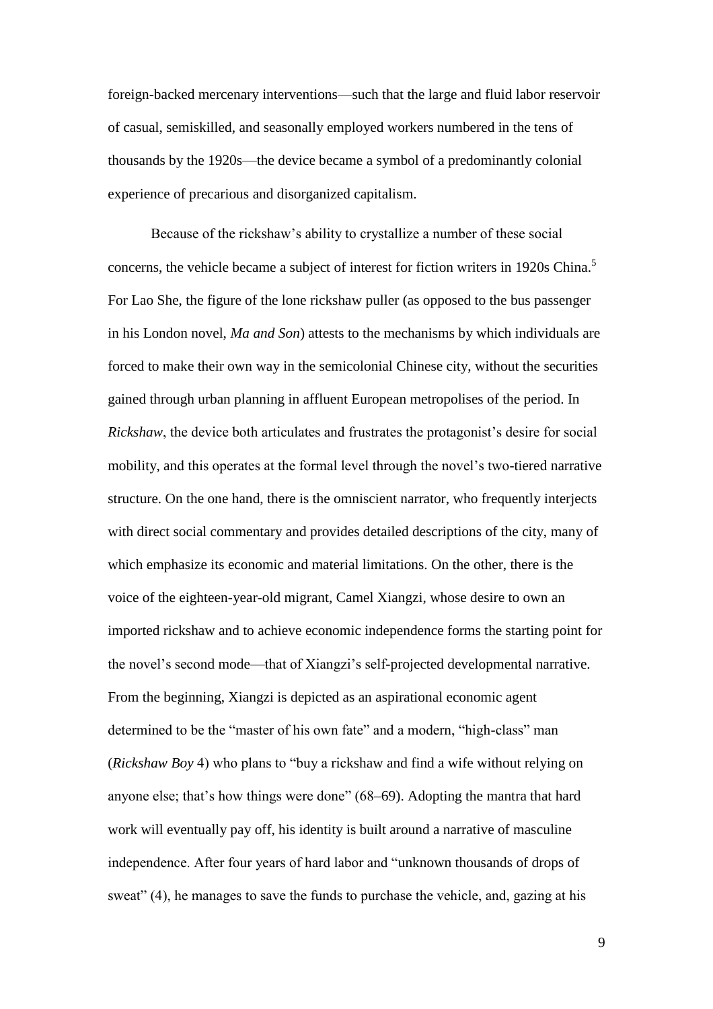foreign-backed mercenary interventions—such that the large and fluid labor reservoir of casual, semiskilled, and seasonally employed workers numbered in the tens of thousands by the 1920s—the device became a symbol of a predominantly colonial experience of precarious and disorganized capitalism.

Because of the rickshaw's ability to crystallize a number of these social concerns, the vehicle became a subject of interest for fiction writers in 1920s China.<sup>5</sup> For Lao She, the figure of the lone rickshaw puller (as opposed to the bus passenger in his London novel, *Ma and Son*) attests to the mechanisms by which individuals are forced to make their own way in the semicolonial Chinese city, without the securities gained through urban planning in affluent European metropolises of the period. In *Rickshaw*, the device both articulates and frustrates the protagonist's desire for social mobility, and this operates at the formal level through the novel's two-tiered narrative structure. On the one hand, there is the omniscient narrator, who frequently interjects with direct social commentary and provides detailed descriptions of the city, many of which emphasize its economic and material limitations. On the other, there is the voice of the eighteen-year-old migrant, Camel Xiangzi, whose desire to own an imported rickshaw and to achieve economic independence forms the starting point for the novel's second mode—that of Xiangzi's self-projected developmental narrative. From the beginning, Xiangzi is depicted as an aspirational economic agent determined to be the "master of his own fate" and a modern, "high-class" man (*Rickshaw Boy* 4) who plans to "buy a rickshaw and find a wife without relying on anyone else; that's how things were done" (68–69). Adopting the mantra that hard work will eventually pay off, his identity is built around a narrative of masculine independence. After four years of hard labor and "unknown thousands of drops of sweat" (4), he manages to save the funds to purchase the vehicle, and, gazing at his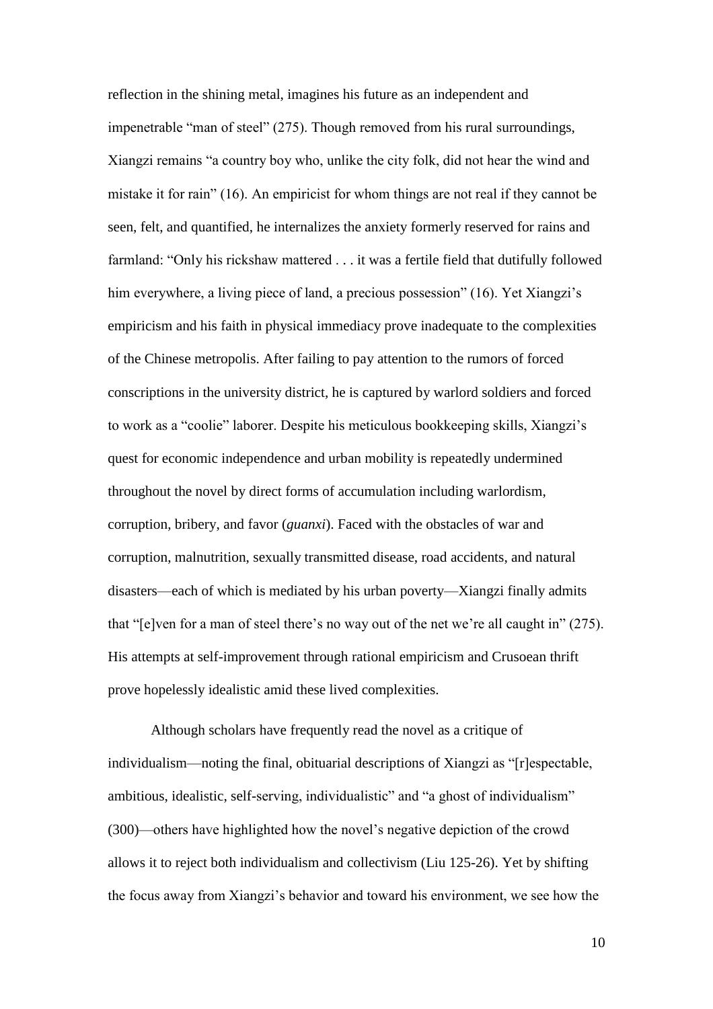reflection in the shining metal, imagines his future as an independent and impenetrable "man of steel" (275). Though removed from his rural surroundings, Xiangzi remains "a country boy who, unlike the city folk, did not hear the wind and mistake it for rain" (16). An empiricist for whom things are not real if they cannot be seen, felt, and quantified, he internalizes the anxiety formerly reserved for rains and farmland: "Only his rickshaw mattered . . . it was a fertile field that dutifully followed him everywhere, a living piece of land, a precious possession" (16). Yet Xiangzi's empiricism and his faith in physical immediacy prove inadequate to the complexities of the Chinese metropolis. After failing to pay attention to the rumors of forced conscriptions in the university district, he is captured by warlord soldiers and forced to work as a "coolie" laborer. Despite his meticulous bookkeeping skills, Xiangzi's quest for economic independence and urban mobility is repeatedly undermined throughout the novel by direct forms of accumulation including warlordism, corruption, bribery, and favor (*guanxi*). Faced with the obstacles of war and corruption, malnutrition, sexually transmitted disease, road accidents, and natural disasters—each of which is mediated by his urban poverty—Xiangzi finally admits that "[e]ven for a man of steel there's no way out of the net we're all caught in" (275). His attempts at self-improvement through rational empiricism and Crusoean thrift prove hopelessly idealistic amid these lived complexities.

Although scholars have frequently read the novel as a critique of individualism—noting the final, obituarial descriptions of Xiangzi as "[r]espectable, ambitious, idealistic, self-serving, individualistic" and "a ghost of individualism" (300)—others have highlighted how the novel's negative depiction of the crowd allows it to reject both individualism and collectivism (Liu 125-26). Yet by shifting the focus away from Xiangzi's behavior and toward his environment, we see how the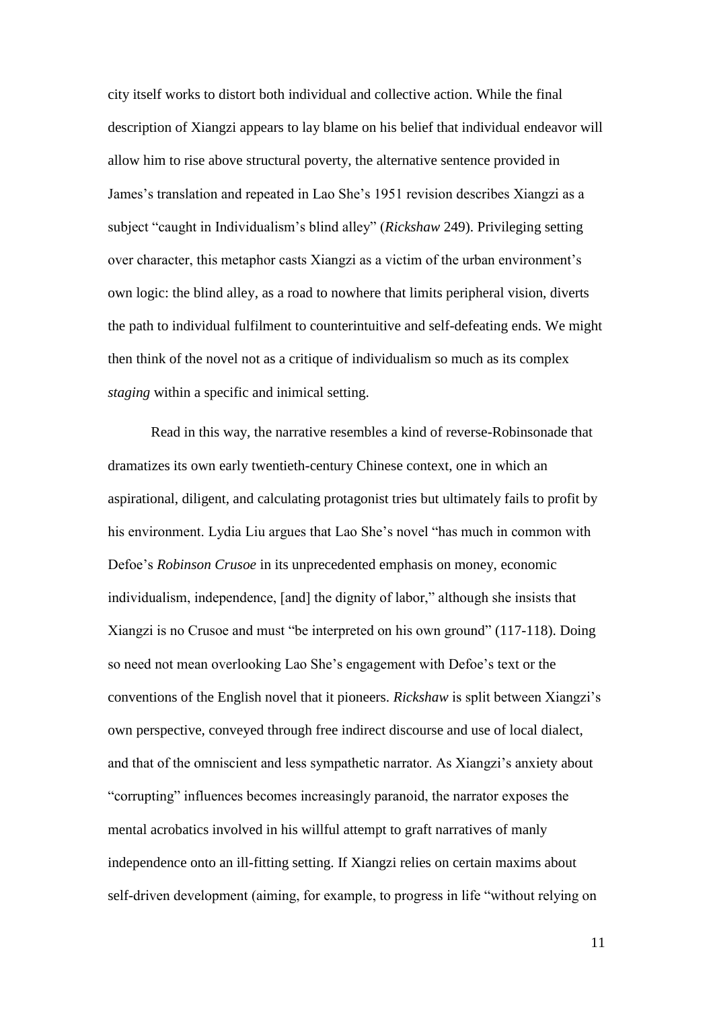city itself works to distort both individual and collective action. While the final description of Xiangzi appears to lay blame on his belief that individual endeavor will allow him to rise above structural poverty, the alternative sentence provided in James's translation and repeated in Lao She's 1951 revision describes Xiangzi as a subject "caught in Individualism's blind alley" (*Rickshaw* 249). Privileging setting over character, this metaphor casts Xiangzi as a victim of the urban environment's own logic: the blind alley, as a road to nowhere that limits peripheral vision, diverts the path to individual fulfilment to counterintuitive and self-defeating ends. We might then think of the novel not as a critique of individualism so much as its complex *staging* within a specific and inimical setting.

Read in this way, the narrative resembles a kind of reverse-Robinsonade that dramatizes its own early twentieth-century Chinese context, one in which an aspirational, diligent, and calculating protagonist tries but ultimately fails to profit by his environment. Lydia Liu argues that Lao She's novel "has much in common with Defoe's *Robinson Crusoe* in its unprecedented emphasis on money, economic individualism, independence, [and] the dignity of labor," although she insists that Xiangzi is no Crusoe and must "be interpreted on his own ground" (117-118). Doing so need not mean overlooking Lao She's engagement with Defoe's text or the conventions of the English novel that it pioneers. *Rickshaw* is split between Xiangzi's own perspective, conveyed through free indirect discourse and use of local dialect, and that of the omniscient and less sympathetic narrator. As Xiangzi's anxiety about "corrupting" influences becomes increasingly paranoid, the narrator exposes the mental acrobatics involved in his willful attempt to graft narratives of manly independence onto an ill-fitting setting. If Xiangzi relies on certain maxims about self-driven development (aiming, for example, to progress in life "without relying on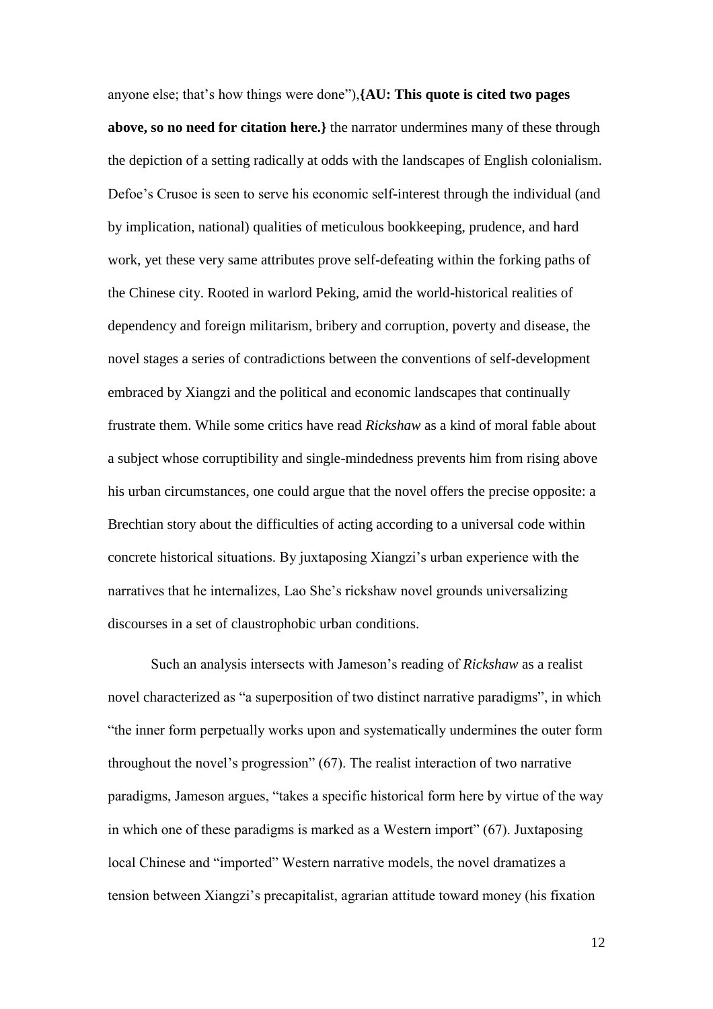anyone else; that's how things were done"),**{AU: This quote is cited two pages above, so no need for citation here.}** the narrator undermines many of these through the depiction of a setting radically at odds with the landscapes of English colonialism. Defoe's Crusoe is seen to serve his economic self-interest through the individual (and by implication, national) qualities of meticulous bookkeeping, prudence, and hard work, yet these very same attributes prove self-defeating within the forking paths of the Chinese city. Rooted in warlord Peking, amid the world-historical realities of dependency and foreign militarism, bribery and corruption, poverty and disease, the novel stages a series of contradictions between the conventions of self-development embraced by Xiangzi and the political and economic landscapes that continually frustrate them. While some critics have read *Rickshaw* as a kind of moral fable about a subject whose corruptibility and single-mindedness prevents him from rising above his urban circumstances, one could argue that the novel offers the precise opposite: a Brechtian story about the difficulties of acting according to a universal code within concrete historical situations. By juxtaposing Xiangzi's urban experience with the narratives that he internalizes, Lao She's rickshaw novel grounds universalizing discourses in a set of claustrophobic urban conditions.

Such an analysis intersects with Jameson's reading of *Rickshaw* as a realist novel characterized as "a superposition of two distinct narrative paradigms", in which "the inner form perpetually works upon and systematically undermines the outer form throughout the novel's progression" (67). The realist interaction of two narrative paradigms, Jameson argues, "takes a specific historical form here by virtue of the way in which one of these paradigms is marked as a Western import" (67). Juxtaposing local Chinese and "imported" Western narrative models, the novel dramatizes a tension between Xiangzi's precapitalist, agrarian attitude toward money (his fixation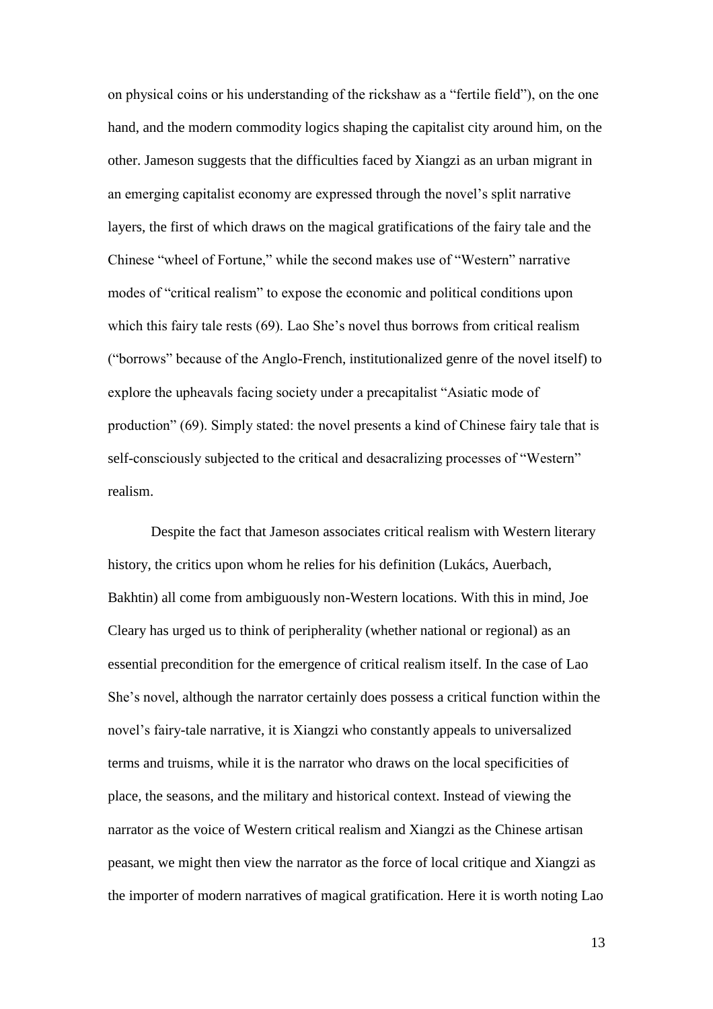on physical coins or his understanding of the rickshaw as a "fertile field"), on the one hand, and the modern commodity logics shaping the capitalist city around him, on the other. Jameson suggests that the difficulties faced by Xiangzi as an urban migrant in an emerging capitalist economy are expressed through the novel's split narrative layers, the first of which draws on the magical gratifications of the fairy tale and the Chinese "wheel of Fortune," while the second makes use of "Western" narrative modes of "critical realism" to expose the economic and political conditions upon which this fairy tale rests (69). Lao She's novel thus borrows from critical realism ("borrows" because of the Anglo-French, institutionalized genre of the novel itself) to explore the upheavals facing society under a precapitalist "Asiatic mode of production" (69). Simply stated: the novel presents a kind of Chinese fairy tale that is self-consciously subjected to the critical and desacralizing processes of "Western" realism.

Despite the fact that Jameson associates critical realism with Western literary history, the critics upon whom he relies for his definition (Lukács, Auerbach, Bakhtin) all come from ambiguously non-Western locations. With this in mind, Joe Cleary has urged us to think of peripherality (whether national or regional) as an essential precondition for the emergence of critical realism itself. In the case of Lao She's novel, although the narrator certainly does possess a critical function within the novel's fairy-tale narrative, it is Xiangzi who constantly appeals to universalized terms and truisms, while it is the narrator who draws on the local specificities of place, the seasons, and the military and historical context. Instead of viewing the narrator as the voice of Western critical realism and Xiangzi as the Chinese artisan peasant, we might then view the narrator as the force of local critique and Xiangzi as the importer of modern narratives of magical gratification. Here it is worth noting Lao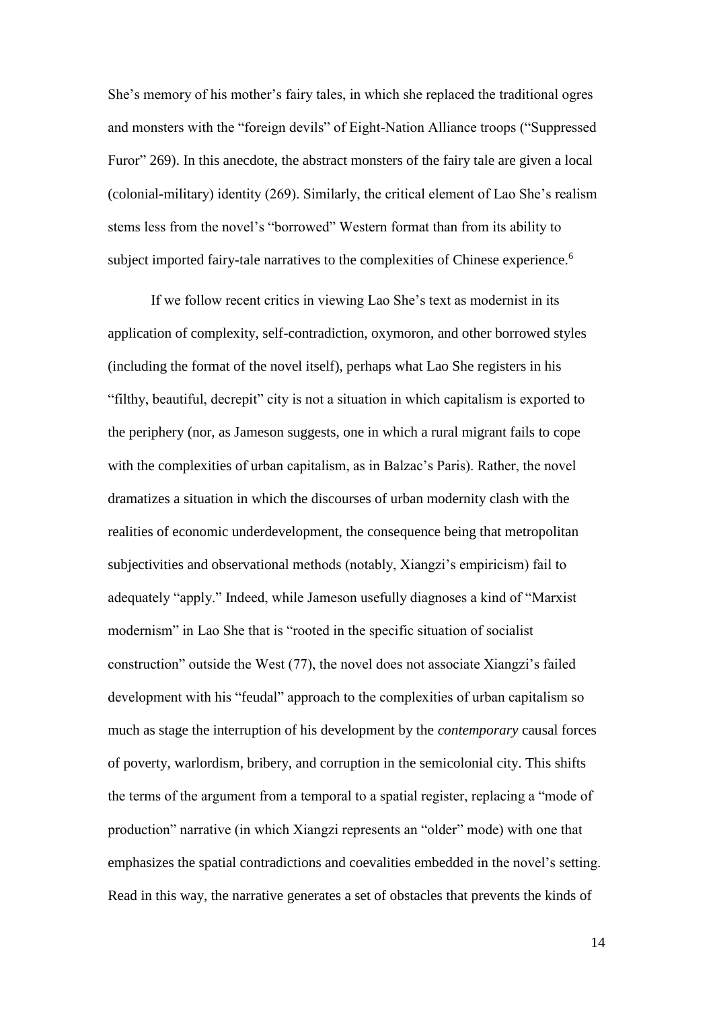She's memory of his mother's fairy tales, in which she replaced the traditional ogres and monsters with the "foreign devils" of Eight-Nation Alliance troops ("Suppressed Furor" 269). In this anecdote, the abstract monsters of the fairy tale are given a local (colonial-military) identity (269). Similarly, the critical element of Lao She's realism stems less from the novel's "borrowed" Western format than from its ability to subject imported fairy-tale narratives to the complexities of Chinese experience.<sup>6</sup>

If we follow recent critics in viewing Lao She's text as modernist in its application of complexity, self-contradiction, oxymoron, and other borrowed styles (including the format of the novel itself), perhaps what Lao She registers in his "filthy, beautiful, decrepit" city is not a situation in which capitalism is exported to the periphery (nor, as Jameson suggests, one in which a rural migrant fails to cope with the complexities of urban capitalism, as in Balzac's Paris). Rather, the novel dramatizes a situation in which the discourses of urban modernity clash with the realities of economic underdevelopment, the consequence being that metropolitan subjectivities and observational methods (notably, Xiangzi's empiricism) fail to adequately "apply." Indeed, while Jameson usefully diagnoses a kind of "Marxist modernism" in Lao She that is "rooted in the specific situation of socialist construction" outside the West (77), the novel does not associate Xiangzi's failed development with his "feudal" approach to the complexities of urban capitalism so much as stage the interruption of his development by the *contemporary* causal forces of poverty, warlordism, bribery, and corruption in the semicolonial city. This shifts the terms of the argument from a temporal to a spatial register, replacing a "mode of production" narrative (in which Xiangzi represents an "older" mode) with one that emphasizes the spatial contradictions and coevalities embedded in the novel's setting. Read in this way, the narrative generates a set of obstacles that prevents the kinds of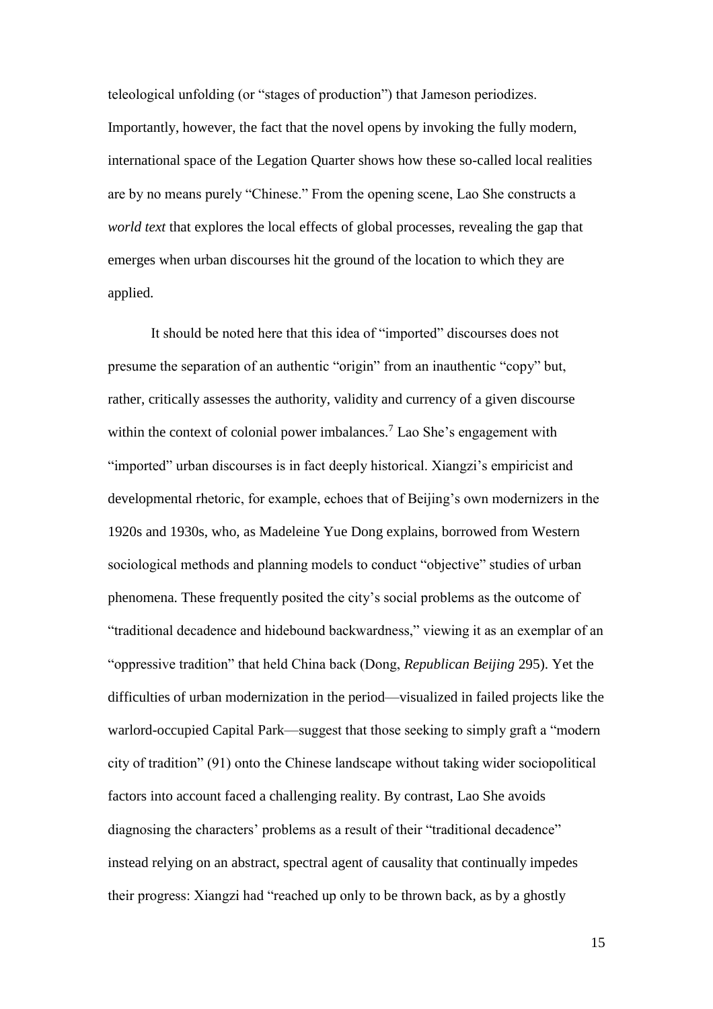teleological unfolding (or "stages of production") that Jameson periodizes. Importantly, however, the fact that the novel opens by invoking the fully modern, international space of the Legation Quarter shows how these so-called local realities are by no means purely "Chinese." From the opening scene, Lao She constructs a *world text* that explores the local effects of global processes, revealing the gap that emerges when urban discourses hit the ground of the location to which they are applied.

It should be noted here that this idea of "imported" discourses does not presume the separation of an authentic "origin" from an inauthentic "copy" but, rather, critically assesses the authority, validity and currency of a given discourse within the context of colonial power imbalances.<sup>7</sup> Lao She's engagement with "imported" urban discourses is in fact deeply historical. Xiangzi's empiricist and developmental rhetoric, for example, echoes that of Beijing's own modernizers in the 1920s and 1930s, who, as Madeleine Yue Dong explains, borrowed from Western sociological methods and planning models to conduct "objective" studies of urban phenomena. These frequently posited the city's social problems as the outcome of "traditional decadence and hidebound backwardness," viewing it as an exemplar of an "oppressive tradition" that held China back (Dong, *Republican Beijing* 295). Yet the difficulties of urban modernization in the period—visualized in failed projects like the warlord-occupied Capital Park—suggest that those seeking to simply graft a "modern city of tradition" (91) onto the Chinese landscape without taking wider sociopolitical factors into account faced a challenging reality. By contrast, Lao She avoids diagnosing the characters' problems as a result of their "traditional decadence" instead relying on an abstract, spectral agent of causality that continually impedes their progress: Xiangzi had "reached up only to be thrown back, as by a ghostly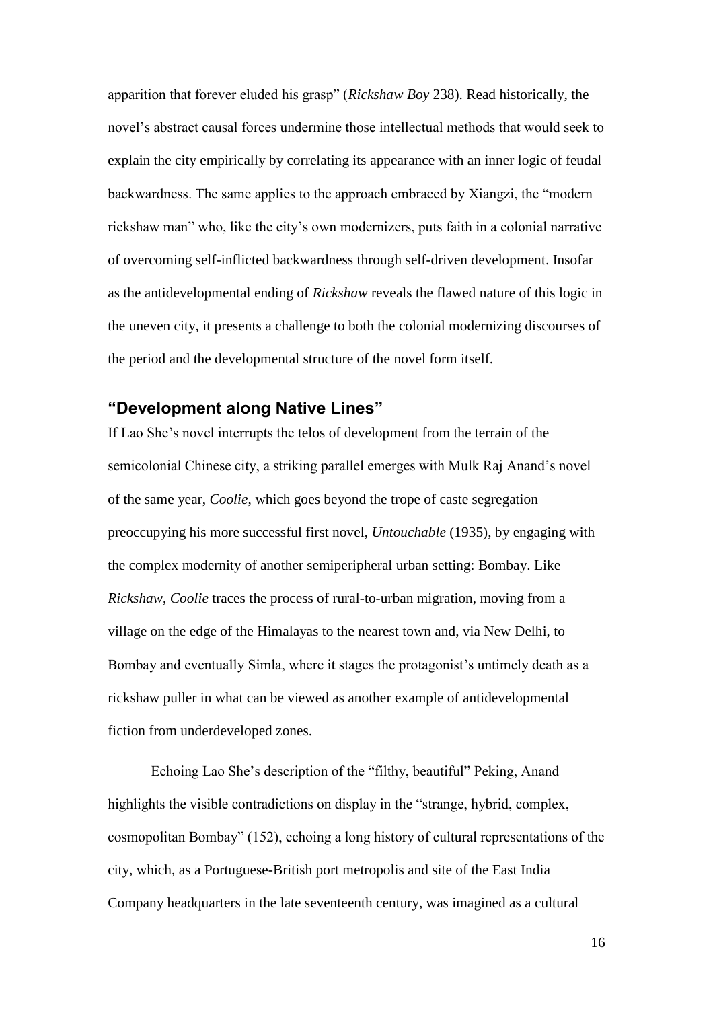apparition that forever eluded his grasp" (*Rickshaw Boy* 238). Read historically, the novel's abstract causal forces undermine those intellectual methods that would seek to explain the city empirically by correlating its appearance with an inner logic of feudal backwardness. The same applies to the approach embraced by Xiangzi, the "modern rickshaw man" who, like the city's own modernizers, puts faith in a colonial narrative of overcoming self-inflicted backwardness through self-driven development. Insofar as the antidevelopmental ending of *Rickshaw* reveals the flawed nature of this logic in the uneven city, it presents a challenge to both the colonial modernizing discourses of the period and the developmental structure of the novel form itself.

## **"Development along Native Lines"**

If Lao She's novel interrupts the telos of development from the terrain of the semicolonial Chinese city, a striking parallel emerges with Mulk Raj Anand's novel of the same year, *Coolie*, which goes beyond the trope of caste segregation preoccupying his more successful first novel, *Untouchable* (1935), by engaging with the complex modernity of another semiperipheral urban setting: Bombay. Like *Rickshaw*, *Coolie* traces the process of rural-to-urban migration, moving from a village on the edge of the Himalayas to the nearest town and, via New Delhi, to Bombay and eventually Simla, where it stages the protagonist's untimely death as a rickshaw puller in what can be viewed as another example of antidevelopmental fiction from underdeveloped zones.

Echoing Lao She's description of the "filthy, beautiful" Peking, Anand highlights the visible contradictions on display in the "strange, hybrid, complex, cosmopolitan Bombay" (152), echoing a long history of cultural representations of the city, which, as a Portuguese-British port metropolis and site of the East India Company headquarters in the late seventeenth century, was imagined as a cultural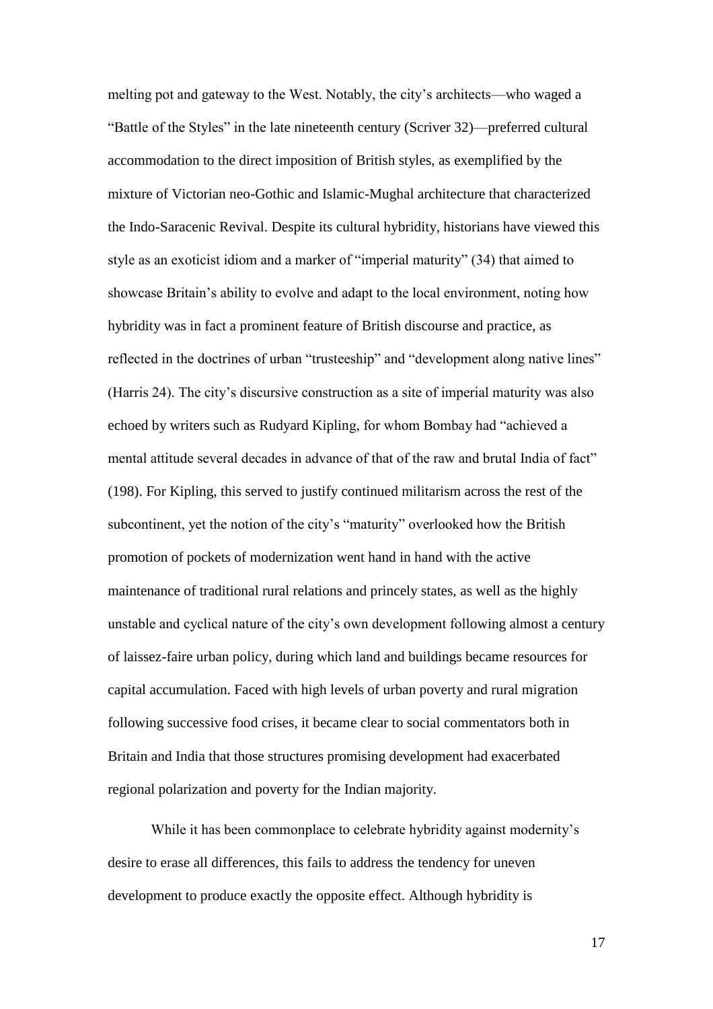melting pot and gateway to the West. Notably, the city's architects—who waged a "Battle of the Styles" in the late nineteenth century (Scriver 32)—preferred cultural accommodation to the direct imposition of British styles, as exemplified by the mixture of Victorian neo-Gothic and Islamic-Mughal architecture that characterized the Indo-Saracenic Revival. Despite its cultural hybridity, historians have viewed this style as an exoticist idiom and a marker of "imperial maturity" (34) that aimed to showcase Britain's ability to evolve and adapt to the local environment, noting how hybridity was in fact a prominent feature of British discourse and practice, as reflected in the doctrines of urban "trusteeship" and "development along native lines" (Harris 24). The city's discursive construction as a site of imperial maturity was also echoed by writers such as Rudyard Kipling, for whom Bombay had "achieved a mental attitude several decades in advance of that of the raw and brutal India of fact" (198). For Kipling, this served to justify continued militarism across the rest of the subcontinent, yet the notion of the city's "maturity" overlooked how the British promotion of pockets of modernization went hand in hand with the active maintenance of traditional rural relations and princely states, as well as the highly unstable and cyclical nature of the city's own development following almost a century of laissez-faire urban policy, during which land and buildings became resources for capital accumulation. Faced with high levels of urban poverty and rural migration following successive food crises, it became clear to social commentators both in Britain and India that those structures promising development had exacerbated regional polarization and poverty for the Indian majority.

While it has been commonplace to celebrate hybridity against modernity's desire to erase all differences, this fails to address the tendency for uneven development to produce exactly the opposite effect. Although hybridity is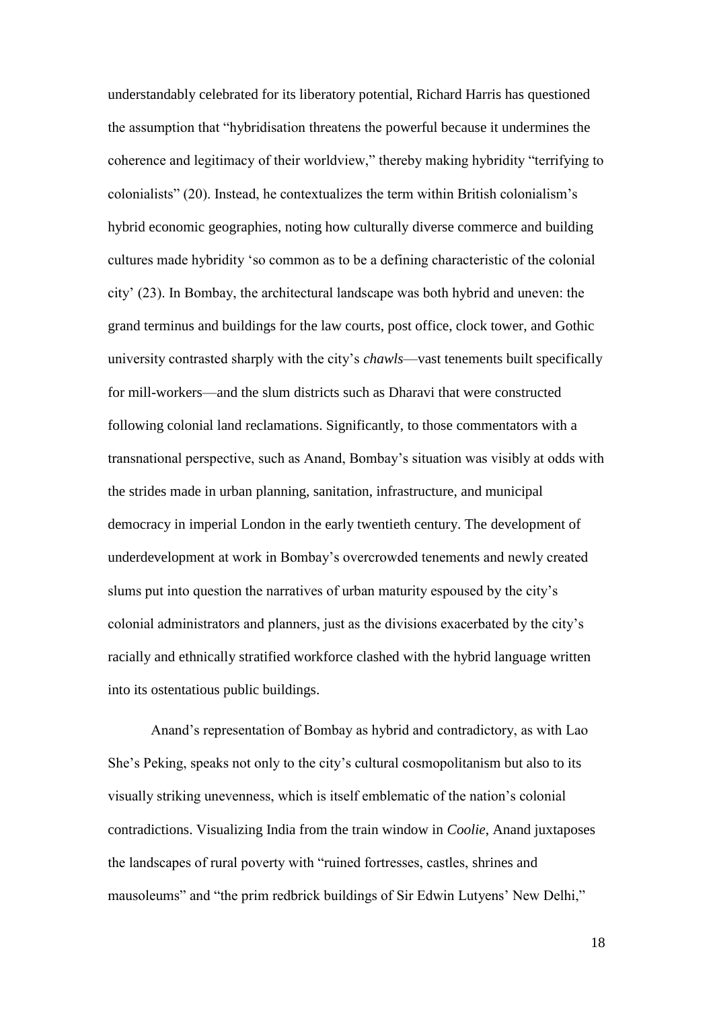understandably celebrated for its liberatory potential, Richard Harris has questioned the assumption that "hybridisation threatens the powerful because it undermines the coherence and legitimacy of their worldview," thereby making hybridity "terrifying to colonialists" (20). Instead, he contextualizes the term within British colonialism's hybrid economic geographies, noting how culturally diverse commerce and building cultures made hybridity 'so common as to be a defining characteristic of the colonial city' (23). In Bombay, the architectural landscape was both hybrid and uneven: the grand terminus and buildings for the law courts, post office, clock tower, and Gothic university contrasted sharply with the city's *chawls*—vast tenements built specifically for mill-workers—and the slum districts such as Dharavi that were constructed following colonial land reclamations. Significantly, to those commentators with a transnational perspective, such as Anand, Bombay's situation was visibly at odds with the strides made in urban planning, sanitation, infrastructure, and municipal democracy in imperial London in the early twentieth century. The development of underdevelopment at work in Bombay's overcrowded tenements and newly created slums put into question the narratives of urban maturity espoused by the city's colonial administrators and planners, just as the divisions exacerbated by the city's racially and ethnically stratified workforce clashed with the hybrid language written into its ostentatious public buildings.

Anand's representation of Bombay as hybrid and contradictory, as with Lao She's Peking, speaks not only to the city's cultural cosmopolitanism but also to its visually striking unevenness, which is itself emblematic of the nation's colonial contradictions. Visualizing India from the train window in *Coolie*, Anand juxtaposes the landscapes of rural poverty with "ruined fortresses, castles, shrines and mausoleums" and "the prim redbrick buildings of Sir Edwin Lutyens' New Delhi,"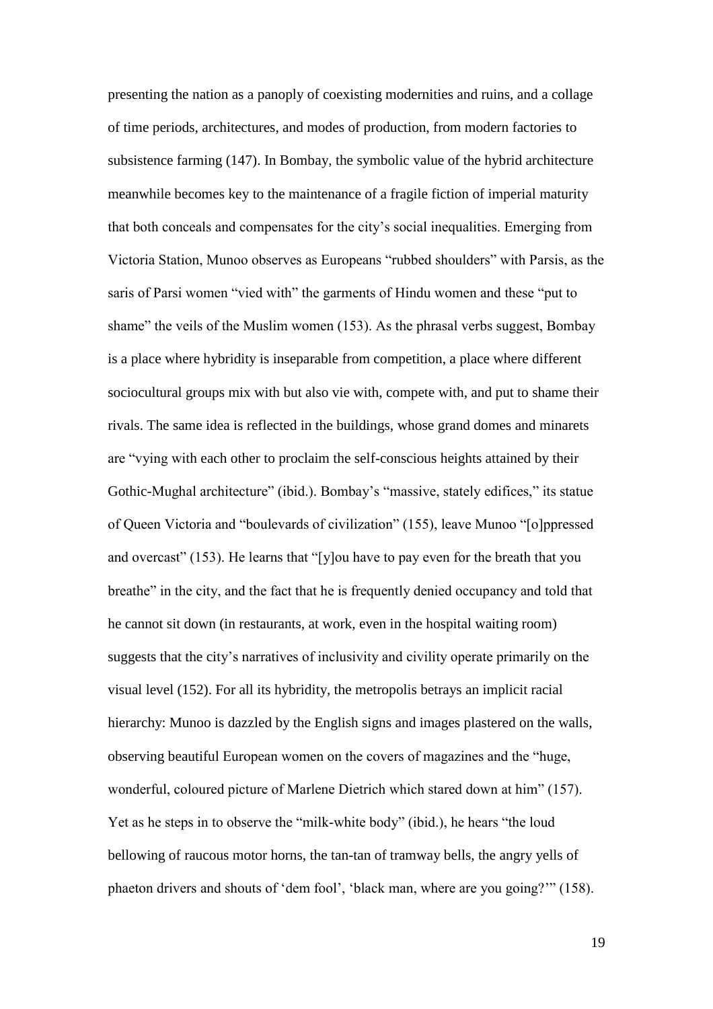presenting the nation as a panoply of coexisting modernities and ruins, and a collage of time periods, architectures, and modes of production, from modern factories to subsistence farming (147). In Bombay, the symbolic value of the hybrid architecture meanwhile becomes key to the maintenance of a fragile fiction of imperial maturity that both conceals and compensates for the city's social inequalities. Emerging from Victoria Station, Munoo observes as Europeans "rubbed shoulders" with Parsis, as the saris of Parsi women "vied with" the garments of Hindu women and these "put to shame" the veils of the Muslim women (153). As the phrasal verbs suggest, Bombay is a place where hybridity is inseparable from competition, a place where different sociocultural groups mix with but also vie with, compete with, and put to shame their rivals. The same idea is reflected in the buildings, whose grand domes and minarets are "vying with each other to proclaim the self-conscious heights attained by their Gothic-Mughal architecture" (ibid.). Bombay's "massive, stately edifices," its statue of Queen Victoria and "boulevards of civilization" (155), leave Munoo "[o]ppressed and overcast" (153). He learns that "[y]ou have to pay even for the breath that you breathe" in the city, and the fact that he is frequently denied occupancy and told that he cannot sit down (in restaurants, at work, even in the hospital waiting room) suggests that the city's narratives of inclusivity and civility operate primarily on the visual level (152). For all its hybridity, the metropolis betrays an implicit racial hierarchy: Munoo is dazzled by the English signs and images plastered on the walls, observing beautiful European women on the covers of magazines and the "huge, wonderful, coloured picture of Marlene Dietrich which stared down at him" (157). Yet as he steps in to observe the "milk-white body" (ibid.), he hears "the loud bellowing of raucous motor horns, the tan-tan of tramway bells, the angry yells of phaeton drivers and shouts of 'dem fool', 'black man, where are you going?'" (158).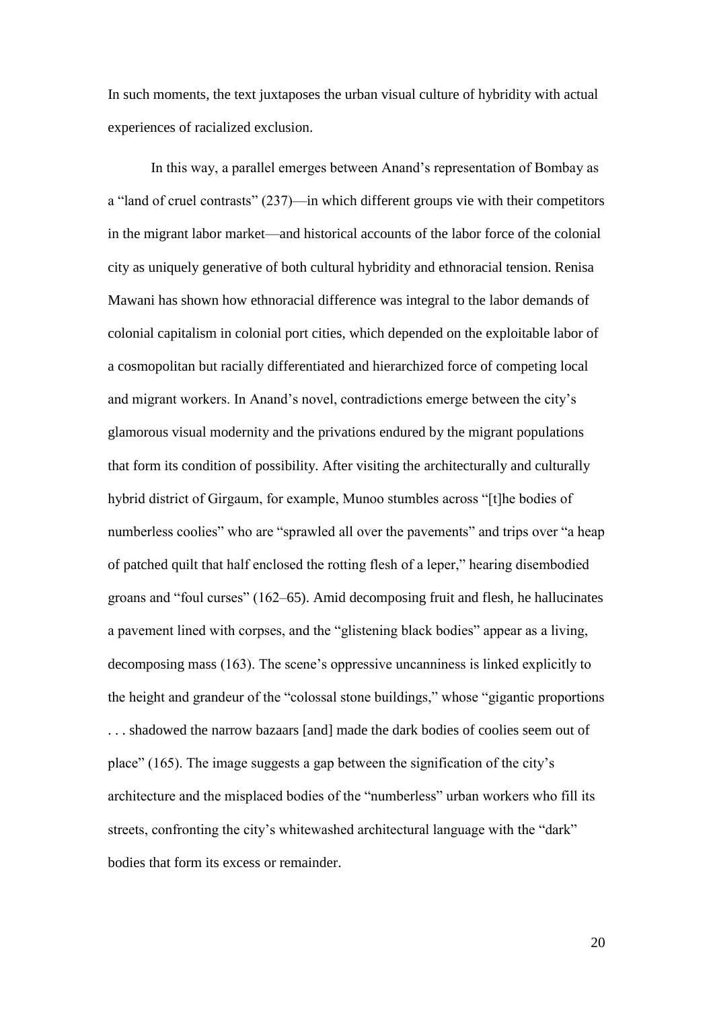In such moments, the text juxtaposes the urban visual culture of hybridity with actual experiences of racialized exclusion.

In this way, a parallel emerges between Anand's representation of Bombay as a "land of cruel contrasts" (237)—in which different groups vie with their competitors in the migrant labor market—and historical accounts of the labor force of the colonial city as uniquely generative of both cultural hybridity and ethnoracial tension. Renisa Mawani has shown how ethnoracial difference was integral to the labor demands of colonial capitalism in colonial port cities, which depended on the exploitable labor of a cosmopolitan but racially differentiated and hierarchized force of competing local and migrant workers. In Anand's novel, contradictions emerge between the city's glamorous visual modernity and the privations endured by the migrant populations that form its condition of possibility. After visiting the architecturally and culturally hybrid district of Girgaum, for example, Munoo stumbles across "[t]he bodies of numberless coolies" who are "sprawled all over the pavements" and trips over "a heap of patched quilt that half enclosed the rotting flesh of a leper," hearing disembodied groans and "foul curses" (162–65). Amid decomposing fruit and flesh, he hallucinates a pavement lined with corpses, and the "glistening black bodies" appear as a living, decomposing mass (163). The scene's oppressive uncanniness is linked explicitly to the height and grandeur of the "colossal stone buildings," whose "gigantic proportions . . . shadowed the narrow bazaars [and] made the dark bodies of coolies seem out of place" (165). The image suggests a gap between the signification of the city's architecture and the misplaced bodies of the "numberless" urban workers who fill its streets, confronting the city's whitewashed architectural language with the "dark" bodies that form its excess or remainder.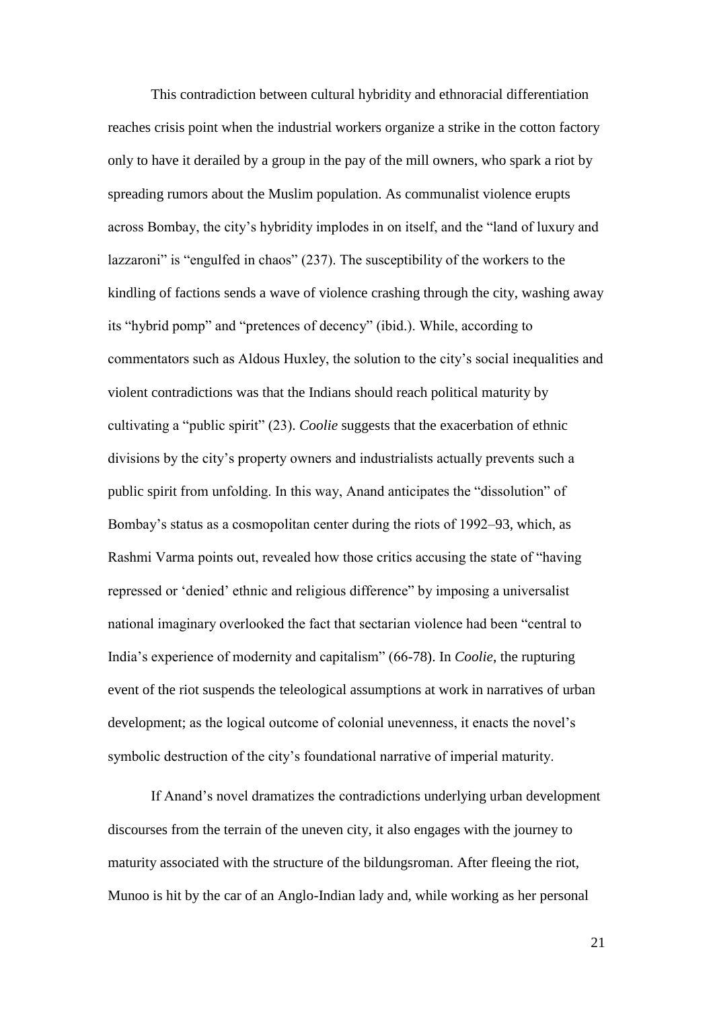This contradiction between cultural hybridity and ethnoracial differentiation reaches crisis point when the industrial workers organize a strike in the cotton factory only to have it derailed by a group in the pay of the mill owners, who spark a riot by spreading rumors about the Muslim population. As communalist violence erupts across Bombay, the city's hybridity implodes in on itself, and the "land of luxury and lazzaroni" is "engulfed in chaos" (237). The susceptibility of the workers to the kindling of factions sends a wave of violence crashing through the city, washing away its "hybrid pomp" and "pretences of decency" (ibid.). While, according to commentators such as Aldous Huxley, the solution to the city's social inequalities and violent contradictions was that the Indians should reach political maturity by cultivating a "public spirit" (23). *Coolie* suggests that the exacerbation of ethnic divisions by the city's property owners and industrialists actually prevents such a public spirit from unfolding. In this way, Anand anticipates the "dissolution" of Bombay's status as a cosmopolitan center during the riots of 1992–93, which, as Rashmi Varma points out, revealed how those critics accusing the state of "having repressed or 'denied' ethnic and religious difference" by imposing a universalist national imaginary overlooked the fact that sectarian violence had been "central to India's experience of modernity and capitalism" (66-78). In *Coolie*, the rupturing event of the riot suspends the teleological assumptions at work in narratives of urban development; as the logical outcome of colonial unevenness, it enacts the novel's symbolic destruction of the city's foundational narrative of imperial maturity.

If Anand's novel dramatizes the contradictions underlying urban development discourses from the terrain of the uneven city, it also engages with the journey to maturity associated with the structure of the bildungsroman. After fleeing the riot, Munoo is hit by the car of an Anglo-Indian lady and, while working as her personal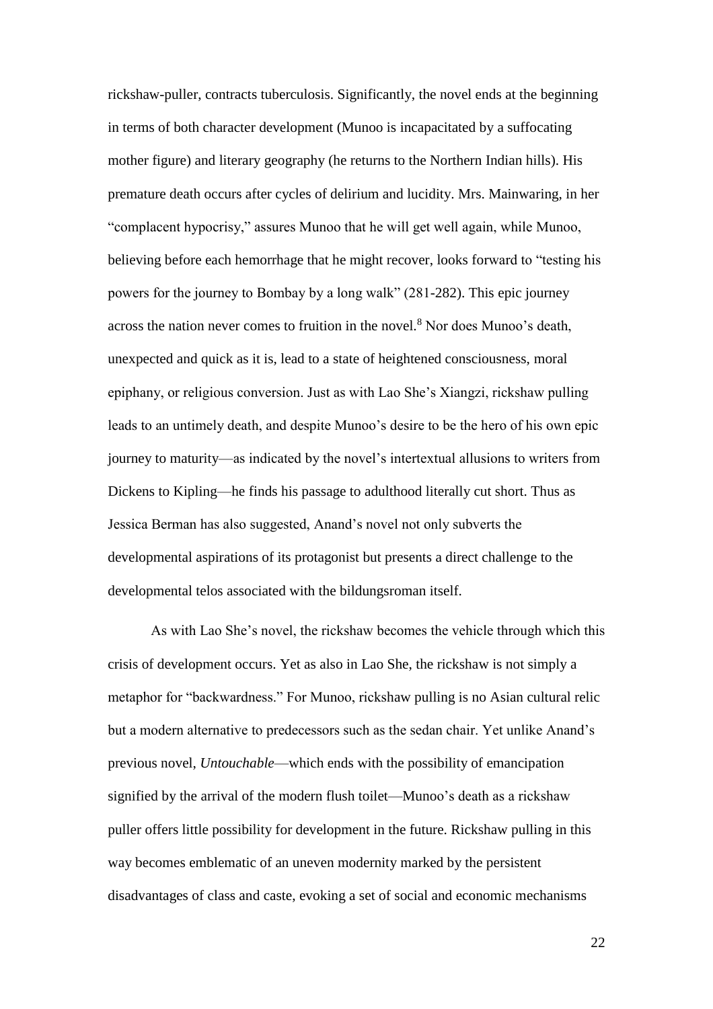rickshaw-puller, contracts tuberculosis. Significantly, the novel ends at the beginning in terms of both character development (Munoo is incapacitated by a suffocating mother figure) and literary geography (he returns to the Northern Indian hills). His premature death occurs after cycles of delirium and lucidity. Mrs. Mainwaring, in her "complacent hypocrisy," assures Munoo that he will get well again, while Munoo, believing before each hemorrhage that he might recover, looks forward to "testing his powers for the journey to Bombay by a long walk" (281-282). This epic journey across the nation never comes to fruition in the novel.<sup>8</sup> Nor does Munoo's death, unexpected and quick as it is, lead to a state of heightened consciousness, moral epiphany, or religious conversion. Just as with Lao She's Xiangzi, rickshaw pulling leads to an untimely death, and despite Munoo's desire to be the hero of his own epic journey to maturity—as indicated by the novel's intertextual allusions to writers from Dickens to Kipling—he finds his passage to adulthood literally cut short. Thus as Jessica Berman has also suggested, Anand's novel not only subverts the developmental aspirations of its protagonist but presents a direct challenge to the developmental telos associated with the bildungsroman itself.

As with Lao She's novel, the rickshaw becomes the vehicle through which this crisis of development occurs. Yet as also in Lao She, the rickshaw is not simply a metaphor for "backwardness." For Munoo, rickshaw pulling is no Asian cultural relic but a modern alternative to predecessors such as the sedan chair. Yet unlike Anand's previous novel, *Untouchable*—which ends with the possibility of emancipation signified by the arrival of the modern flush toilet—Munoo's death as a rickshaw puller offers little possibility for development in the future. Rickshaw pulling in this way becomes emblematic of an uneven modernity marked by the persistent disadvantages of class and caste, evoking a set of social and economic mechanisms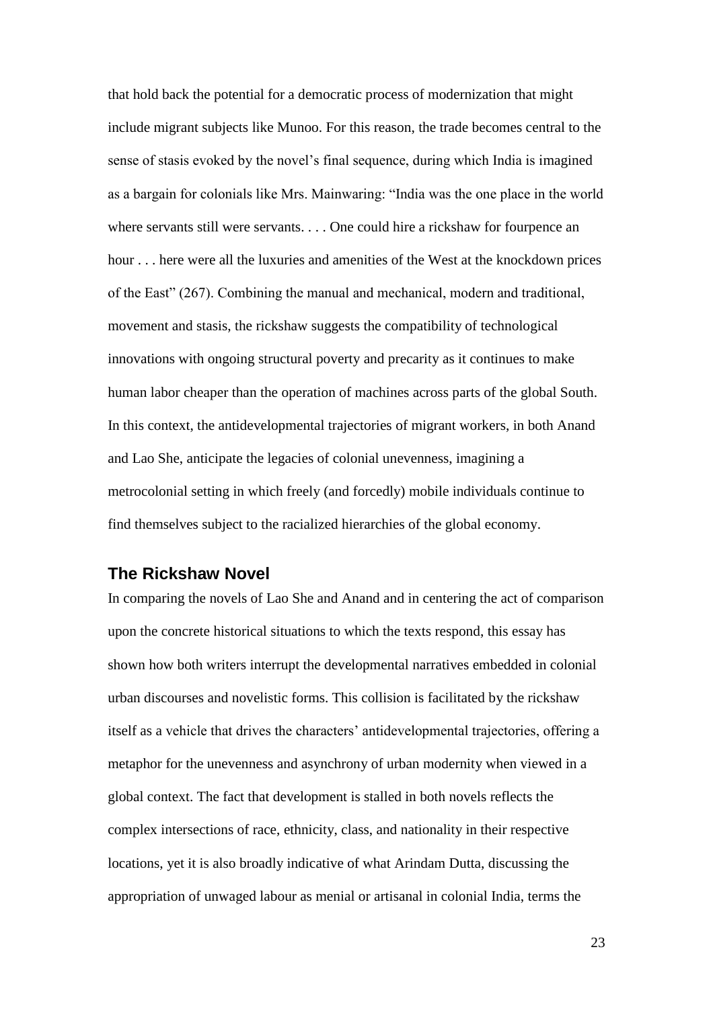that hold back the potential for a democratic process of modernization that might include migrant subjects like Munoo. For this reason, the trade becomes central to the sense of stasis evoked by the novel's final sequence, during which India is imagined as a bargain for colonials like Mrs. Mainwaring: "India was the one place in the world where servants still were servants. . . . One could hire a rickshaw for fourpence an hour . . . here were all the luxuries and amenities of the West at the knockdown prices of the East" (267). Combining the manual and mechanical, modern and traditional, movement and stasis, the rickshaw suggests the compatibility of technological innovations with ongoing structural poverty and precarity as it continues to make human labor cheaper than the operation of machines across parts of the global South. In this context, the antidevelopmental trajectories of migrant workers, in both Anand and Lao She, anticipate the legacies of colonial unevenness, imagining a metrocolonial setting in which freely (and forcedly) mobile individuals continue to find themselves subject to the racialized hierarchies of the global economy.

## **The Rickshaw Novel**

In comparing the novels of Lao She and Anand and in centering the act of comparison upon the concrete historical situations to which the texts respond, this essay has shown how both writers interrupt the developmental narratives embedded in colonial urban discourses and novelistic forms. This collision is facilitated by the rickshaw itself as a vehicle that drives the characters' antidevelopmental trajectories, offering a metaphor for the unevenness and asynchrony of urban modernity when viewed in a global context. The fact that development is stalled in both novels reflects the complex intersections of race, ethnicity, class, and nationality in their respective locations, yet it is also broadly indicative of what Arindam Dutta, discussing the appropriation of unwaged labour as menial or artisanal in colonial India, terms the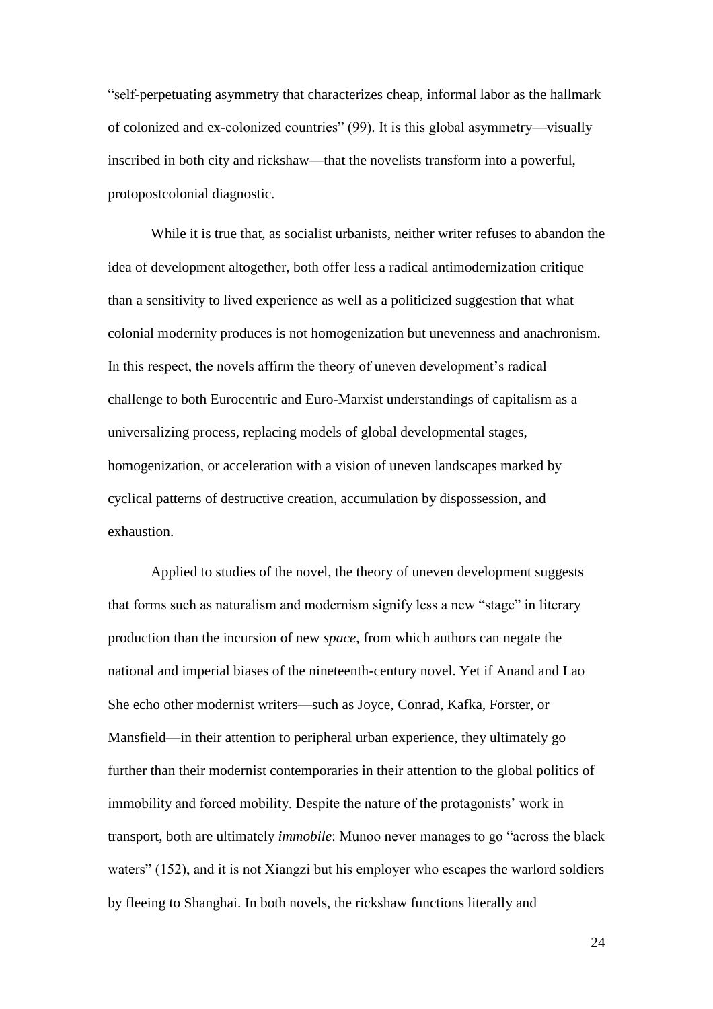"self-perpetuating asymmetry that characterizes cheap, informal labor as the hallmark of colonized and ex-colonized countries" (99). It is this global asymmetry—visually inscribed in both city and rickshaw—that the novelists transform into a powerful, protopostcolonial diagnostic.

While it is true that, as socialist urbanists, neither writer refuses to abandon the idea of development altogether, both offer less a radical antimodernization critique than a sensitivity to lived experience as well as a politicized suggestion that what colonial modernity produces is not homogenization but unevenness and anachronism. In this respect, the novels affirm the theory of uneven development's radical challenge to both Eurocentric and Euro-Marxist understandings of capitalism as a universalizing process, replacing models of global developmental stages, homogenization, or acceleration with a vision of uneven landscapes marked by cyclical patterns of destructive creation, accumulation by dispossession, and exhaustion.

Applied to studies of the novel, the theory of uneven development suggests that forms such as naturalism and modernism signify less a new "stage" in literary production than the incursion of new *space*, from which authors can negate the national and imperial biases of the nineteenth-century novel. Yet if Anand and Lao She echo other modernist writers—such as Joyce, Conrad, Kafka, Forster, or Mansfield—in their attention to peripheral urban experience, they ultimately go further than their modernist contemporaries in their attention to the global politics of immobility and forced mobility. Despite the nature of the protagonists' work in transport, both are ultimately *immobile*: Munoo never manages to go "across the black waters" (152), and it is not Xiangzi but his employer who escapes the warlord soldiers by fleeing to Shanghai. In both novels, the rickshaw functions literally and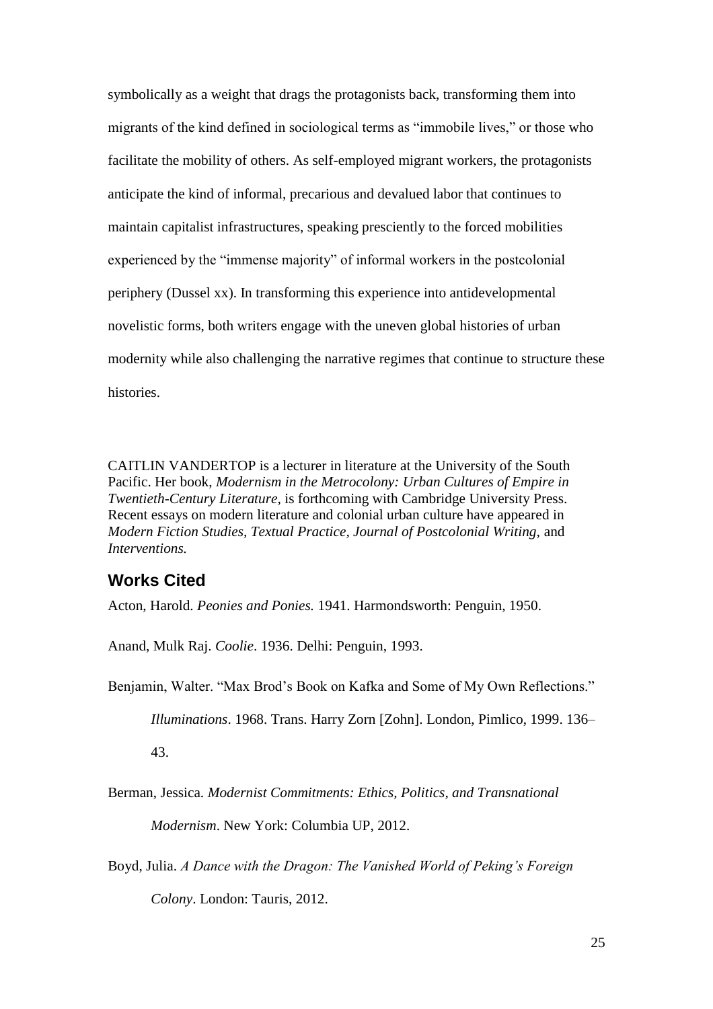symbolically as a weight that drags the protagonists back, transforming them into migrants of the kind defined in sociological terms as "immobile lives," or those who facilitate the mobility of others. As self-employed migrant workers, the protagonists anticipate the kind of informal, precarious and devalued labor that continues to maintain capitalist infrastructures, speaking presciently to the forced mobilities experienced by the "immense majority" of informal workers in the postcolonial periphery (Dussel xx). In transforming this experience into antidevelopmental novelistic forms, both writers engage with the uneven global histories of urban modernity while also challenging the narrative regimes that continue to structure these histories.

CAITLIN VANDERTOP is a lecturer in literature at the University of the South Pacific. Her book, *Modernism in the Metrocolony: Urban Cultures of Empire in Twentieth-Century Literature,* is forthcoming with Cambridge University Press. Recent essays on modern literature and colonial urban culture have appeared in *Modern Fiction Studies, Textual Practice, Journal of Postcolonial Writing,* and *Interventions.*

## **Works Cited**

Acton, Harold. *Peonies and Ponies.* 1941. Harmondsworth: Penguin, 1950.

Anand, Mulk Raj. *Coolie*. 1936. Delhi: Penguin, 1993.

Benjamin, Walter. "Max Brod's Book on Kafka and Some of My Own Reflections."

*Illuminations*. 1968. Trans. Harry Zorn [Zohn]. London, Pimlico, 1999. 136–

43.

Berman, Jessica. *Modernist Commitments: Ethics, Politics, and Transnational* 

*Modernism*. New York: Columbia UP, 2012.

Boyd, Julia. *A Dance with the Dragon: The Vanished World of Peking's Foreign Colony*. London: Tauris, 2012.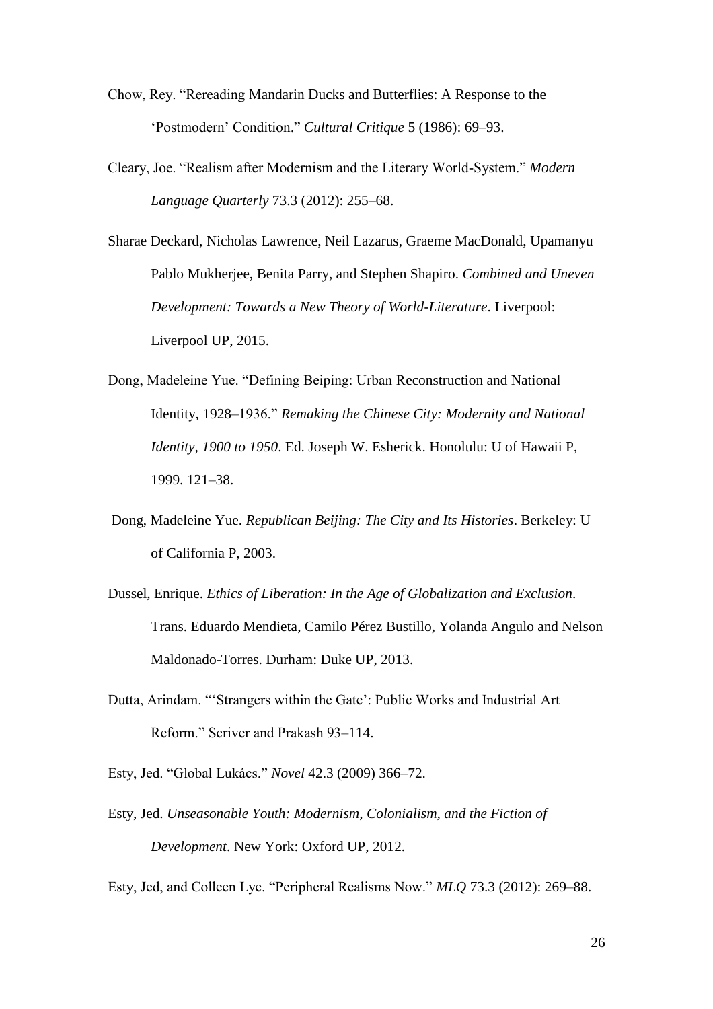- Chow, Rey. "Rereading Mandarin Ducks and Butterflies: A Response to the 'Postmodern' Condition." *Cultural Critique* 5 (1986): 69–93.
- Cleary, Joe. "Realism after Modernism and the Literary World-System." *Modern Language Quarterly* 73.3 (2012): 255–68.

Sharae Deckard, Nicholas Lawrence, Neil Lazarus, Graeme MacDonald, Upamanyu Pablo Mukherjee, Benita Parry, and Stephen Shapiro. *Combined and Uneven Development: Towards a New Theory of World-Literature*. Liverpool: Liverpool UP, 2015.

- Dong, Madeleine Yue. "Defining Beiping: Urban Reconstruction and National Identity, 1928–1936." *Remaking the Chinese City: Modernity and National Identity, 1900 to 1950*. Ed. Joseph W. Esherick. Honolulu: U of Hawaii P, 1999. 121–38.
- Dong, Madeleine Yue. *Republican Beijing: The City and Its Histories*. Berkeley: U of California P, 2003.
- Dussel, Enrique. *Ethics of Liberation: In the Age of Globalization and Exclusion*. Trans. Eduardo Mendieta, Camilo Pérez Bustillo, Yolanda Angulo and Nelson Maldonado-Torres. Durham: Duke UP, 2013.
- Dutta, Arindam. "'Strangers within the Gate': Public Works and Industrial Art Reform." Scriver and Prakash 93–114.
- Esty, Jed. "Global Lukács." *Novel* 42.3 (2009) 366–72.
- Esty, Jed. *Unseasonable Youth: Modernism, Colonialism, and the Fiction of Development*. New York: Oxford UP, 2012.

Esty, Jed, and Colleen Lye. "Peripheral Realisms Now." *MLQ* 73.3 (2012): 269–88.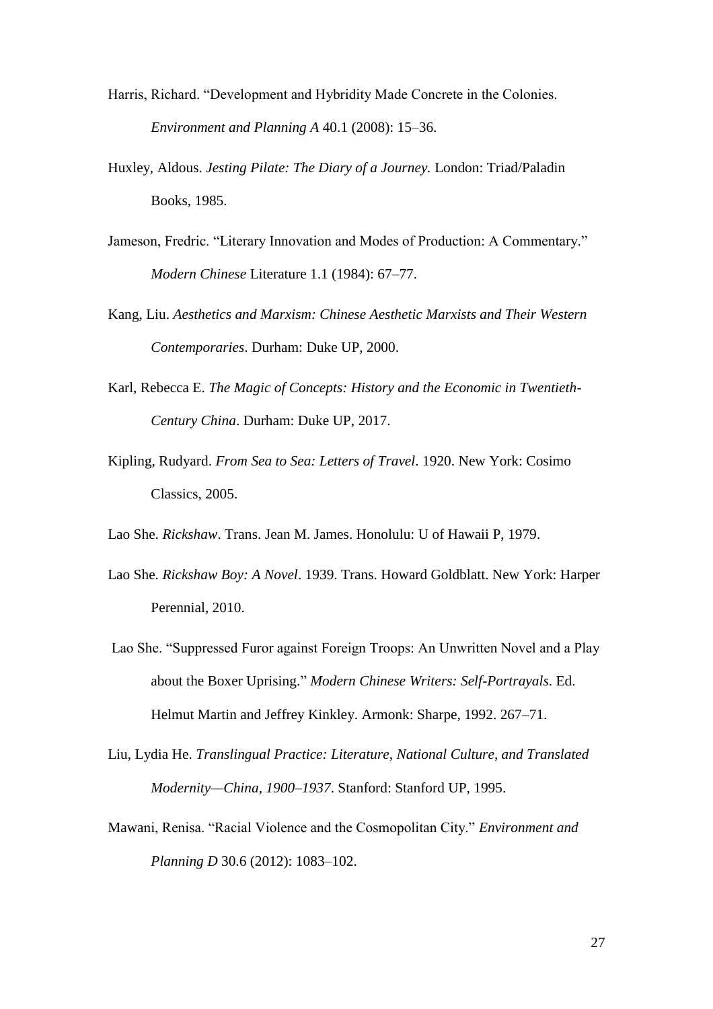- Harris, Richard. "Development and Hybridity Made Concrete in the Colonies. *Environment and Planning A* 40.1 (2008): 15–36.
- Huxley, Aldous. *Jesting Pilate: The Diary of a Journey.* London: Triad/Paladin Books, 1985.
- Jameson, Fredric. "Literary Innovation and Modes of Production: A Commentary." *Modern Chinese* Literature 1.1 (1984): 67–77.
- Kang, Liu. *Aesthetics and Marxism: Chinese Aesthetic Marxists and Their Western Contemporaries*. Durham: Duke UP, 2000.
- Karl, Rebecca E. *The Magic of Concepts: History and the Economic in Twentieth-Century China*. Durham: Duke UP, 2017.
- Kipling, Rudyard. *From Sea to Sea: Letters of Travel*. 1920. New York: Cosimo Classics, 2005.

Lao She. *Rickshaw*. Trans. Jean M. James. Honolulu: U of Hawaii P, 1979.

- Lao She. *Rickshaw Boy: A Novel*. 1939. Trans. Howard Goldblatt. New York: Harper Perennial, 2010.
- Lao She. "Suppressed Furor against Foreign Troops: An Unwritten Novel and a Play about the Boxer Uprising." *Modern Chinese Writers: Self-Portrayals*. Ed. Helmut Martin and Jeffrey Kinkley. Armonk: Sharpe, 1992. 267–71.
- Liu, Lydia He. *Translingual Practice: Literature, National Culture, and Translated Modernity—China, 1900–1937*. Stanford: Stanford UP, 1995.
- Mawani, Renisa. "Racial Violence and the Cosmopolitan City." *Environment and Planning D* 30.6 (2012): 1083–102.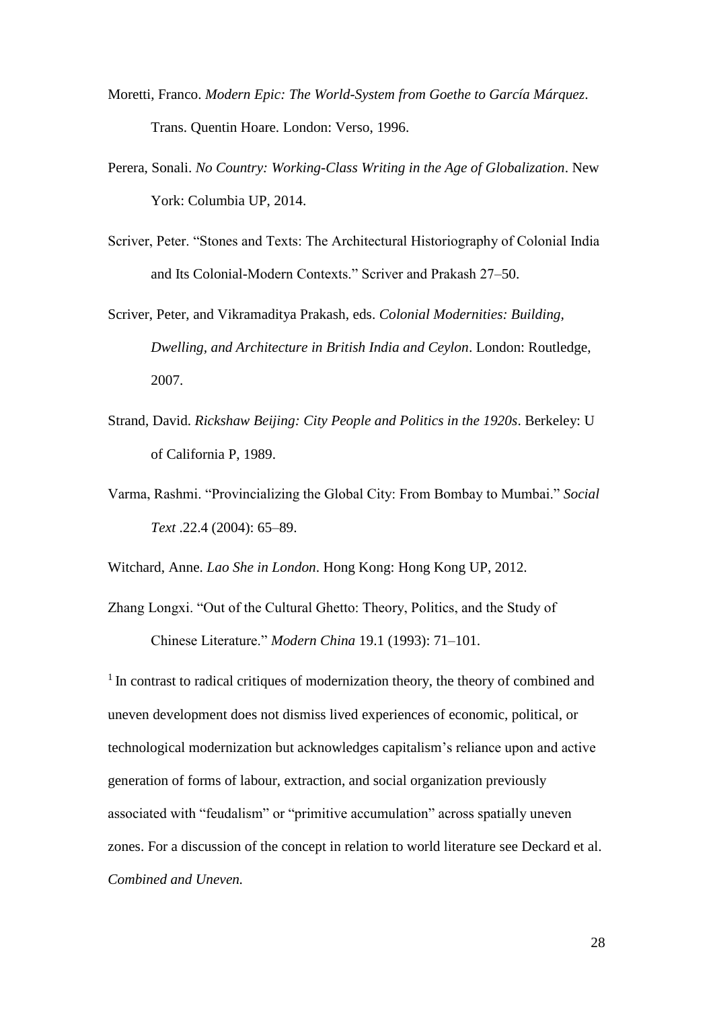- Moretti, Franco. *Modern Epic: The World-System from Goethe to García Márquez*. Trans. Quentin Hoare. London: Verso, 1996.
- Perera, Sonali. *No Country: Working-Class Writing in the Age of Globalization*. New York: Columbia UP, 2014.
- Scriver, Peter. "Stones and Texts: The Architectural Historiography of Colonial India and Its Colonial-Modern Contexts." Scriver and Prakash 27–50.
- Scriver, Peter, and Vikramaditya Prakash, eds. *Colonial Modernities: Building, Dwelling, and Architecture in British India and Ceylon*. London: Routledge, 2007.
- Strand, David. *Rickshaw Beijing: City People and Politics in the 1920s*. Berkeley: U of California P, 1989.
- Varma, Rashmi. "Provincializing the Global City: From Bombay to Mumbai." *Social Text* .22.4 (2004): 65–89.

Witchard, Anne. *Lao She in London*. Hong Kong: Hong Kong UP, 2012.

Zhang Longxi. "Out of the Cultural Ghetto: Theory, Politics, and the Study of Chinese Literature." *Modern China* 19.1 (1993): 71–101.

<sup>1</sup> In contrast to radical critiques of modernization theory, the theory of combined and uneven development does not dismiss lived experiences of economic, political, or technological modernization but acknowledges capitalism's reliance upon and active generation of forms of labour, extraction, and social organization previously associated with "feudalism" or "primitive accumulation" across spatially uneven zones. For a discussion of the concept in relation to world literature see Deckard et al. *Combined and Uneven.*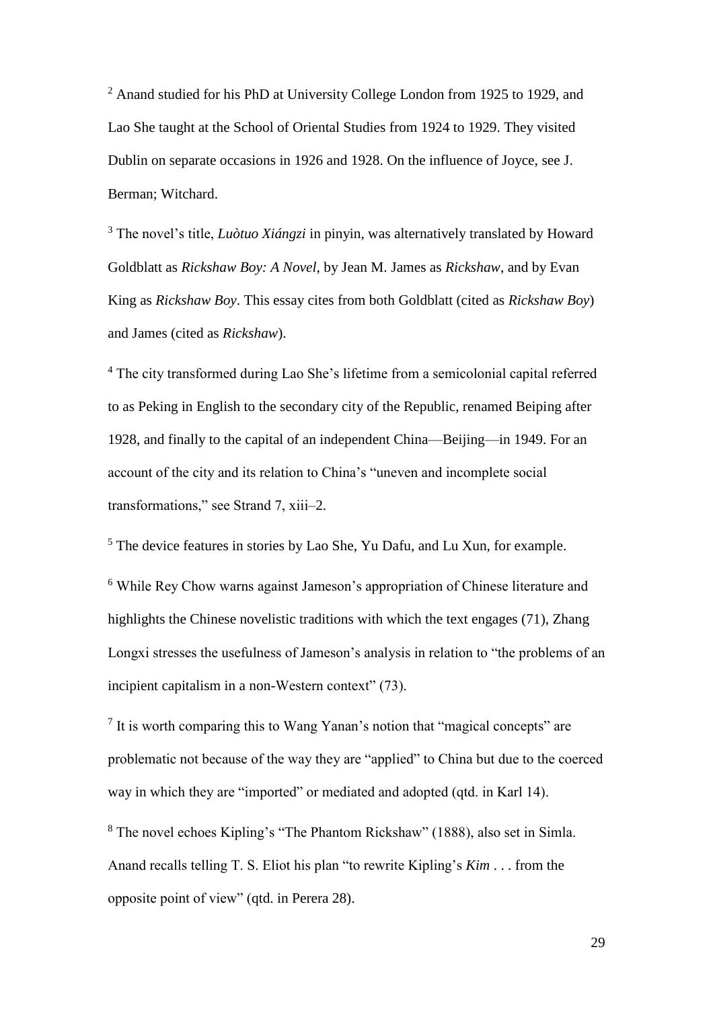<sup>2</sup> Anand studied for his PhD at University College London from 1925 to 1929, and Lao She taught at the School of Oriental Studies from 1924 to 1929. They visited Dublin on separate occasions in 1926 and 1928. On the influence of Joyce, see J. Berman; Witchard.

<sup>3</sup> The novel's title, *Luòtuo Xiángzi* in pinyin, was alternatively translated by Howard Goldblatt as *Rickshaw Boy: A Novel*, by Jean M. James as *Rickshaw*, and by Evan King as *Rickshaw Boy*. This essay cites from both Goldblatt (cited as *Rickshaw Boy*) and James (cited as *Rickshaw*).

<sup>4</sup> The city transformed during Lao She's lifetime from a semicolonial capital referred to as Peking in English to the secondary city of the Republic, renamed Beiping after 1928, and finally to the capital of an independent China—Beijing—in 1949. For an account of the city and its relation to China's "uneven and incomplete social transformations," see Strand 7, xiii–2.

<sup>5</sup> The device features in stories by Lao She, Yu Dafu, and Lu Xun, for example.

<sup>6</sup> While Rey Chow warns against Jameson's appropriation of Chinese literature and highlights the Chinese novelistic traditions with which the text engages (71), Zhang Longxi stresses the usefulness of Jameson's analysis in relation to "the problems of an incipient capitalism in a non-Western context" (73).

<sup>7</sup> It is worth comparing this to Wang Yanan's notion that "magical concepts" are problematic not because of the way they are "applied" to China but due to the coerced way in which they are "imported" or mediated and adopted (qtd. in Karl 14).

<sup>8</sup> The novel echoes Kipling's "The Phantom Rickshaw" (1888), also set in Simla. Anand recalls telling T. S. Eliot his plan "to rewrite Kipling's *Kim* . . . from the opposite point of view" (qtd. in Perera 28).